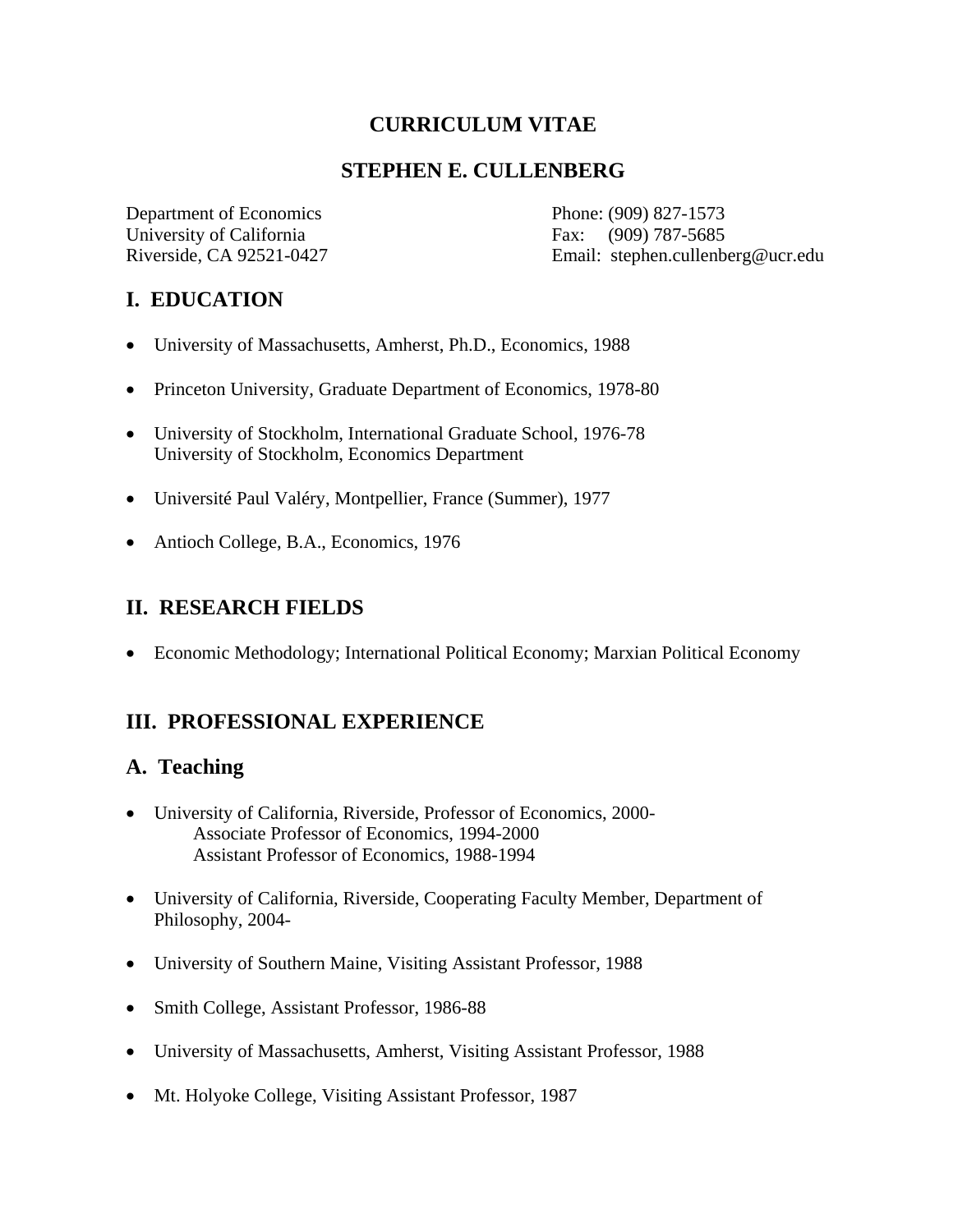### **CURRICULUM VITAE**

### **STEPHEN E. CULLENBERG**

Department of Economics Phone: (909) 827-1573 University of California Fax: (909) 787-5685

Riverside, CA 92521-0427 Email: stephen.cullenberg@ucr.edu

# **I. EDUCATION**

- University of Massachusetts, Amherst, Ph.D., Economics, 1988
- Princeton University, Graduate Department of Economics, 1978-80
- University of Stockholm, International Graduate School, 1976-78 University of Stockholm, Economics Department
- Université Paul Valéry, Montpellier, France (Summer), 1977
- Antioch College, B.A., Economics, 1976

#### **II. RESEARCH FIELDS**

• Economic Methodology; International Political Economy; Marxian Political Economy

# **III. PROFESSIONAL EXPERIENCE**

### **A. Teaching**

- University of California, Riverside, Professor of Economics, 2000- Associate Professor of Economics, 1994-2000 Assistant Professor of Economics, 1988-1994
- University of California, Riverside, Cooperating Faculty Member, Department of Philosophy, 2004-
- University of Southern Maine, Visiting Assistant Professor, 1988
- Smith College, Assistant Professor, 1986-88
- University of Massachusetts, Amherst, Visiting Assistant Professor, 1988
- Mt. Holyoke College, Visiting Assistant Professor, 1987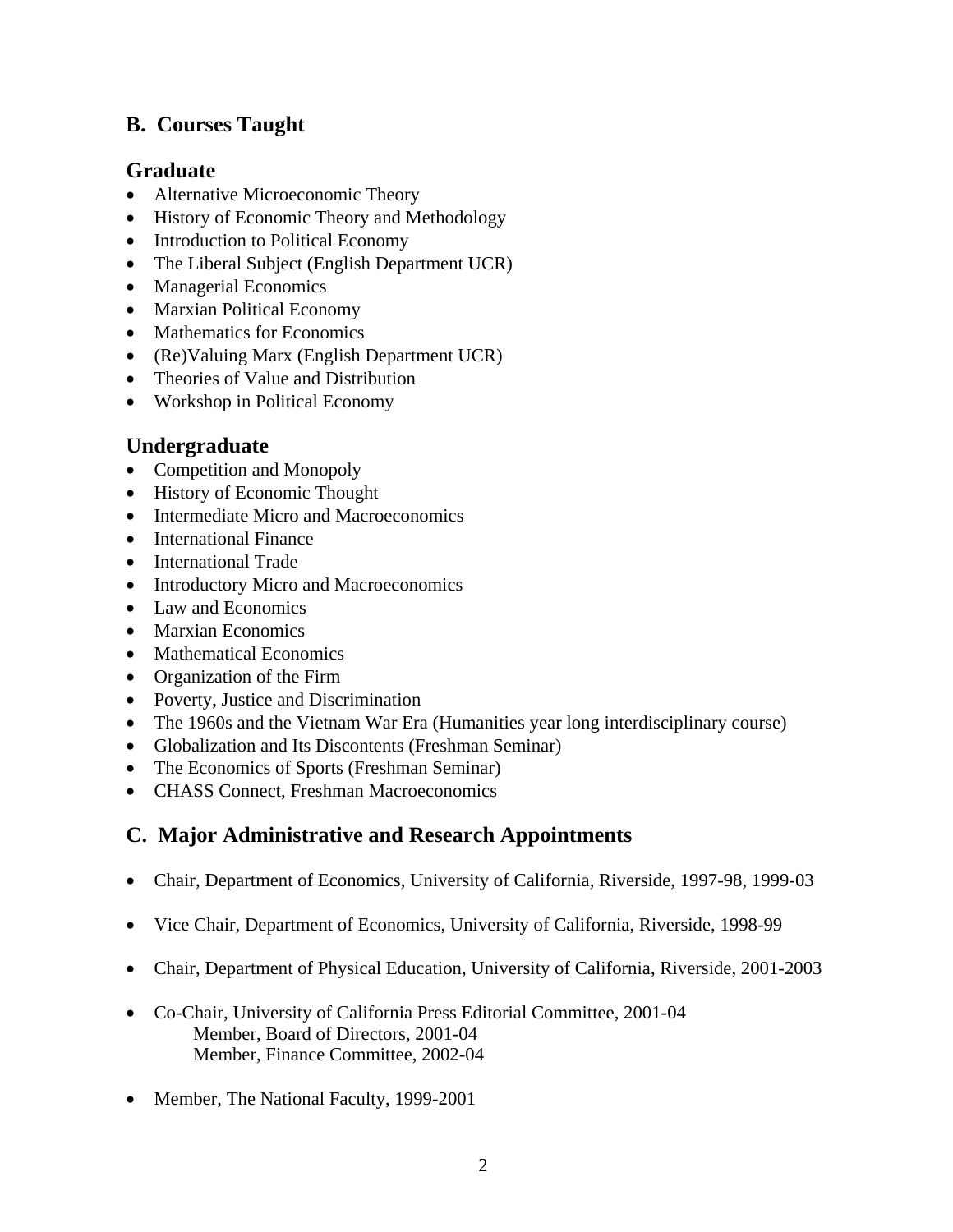### **B. Courses Taught**

#### **Graduate**

- Alternative Microeconomic Theory
- History of Economic Theory and Methodology
- Introduction to Political Economy
- The Liberal Subject (English Department UCR)
- Managerial Economics
- Marxian Political Economy
- Mathematics for Economics
- (Re)Valuing Marx (English Department UCR)
- Theories of Value and Distribution
- Workshop in Political Economy

# **Undergraduate**

- Competition and Monopoly
- History of Economic Thought
- Intermediate Micro and Macroeconomics
- International Finance
- International Trade
- Introductory Micro and Macroeconomics
- Law and Economics
- Marxian Economics
- Mathematical Economics
- Organization of the Firm
- Poverty, Justice and Discrimination
- The 1960s and the Vietnam War Era (Humanities year long interdisciplinary course)
- Globalization and Its Discontents (Freshman Seminar)
- The Economics of Sports (Freshman Seminar)
- CHASS Connect, Freshman Macroeconomics

# **C. Major Administrative and Research Appointments**

- Chair, Department of Economics, University of California, Riverside, 1997-98, 1999-03
- Vice Chair, Department of Economics, University of California, Riverside, 1998-99
- Chair, Department of Physical Education, University of California, Riverside, 2001-2003
- Co-Chair, University of California Press Editorial Committee, 2001-04 Member, Board of Directors, 2001-04 Member, Finance Committee, 2002-04
- Member, The National Faculty, 1999-2001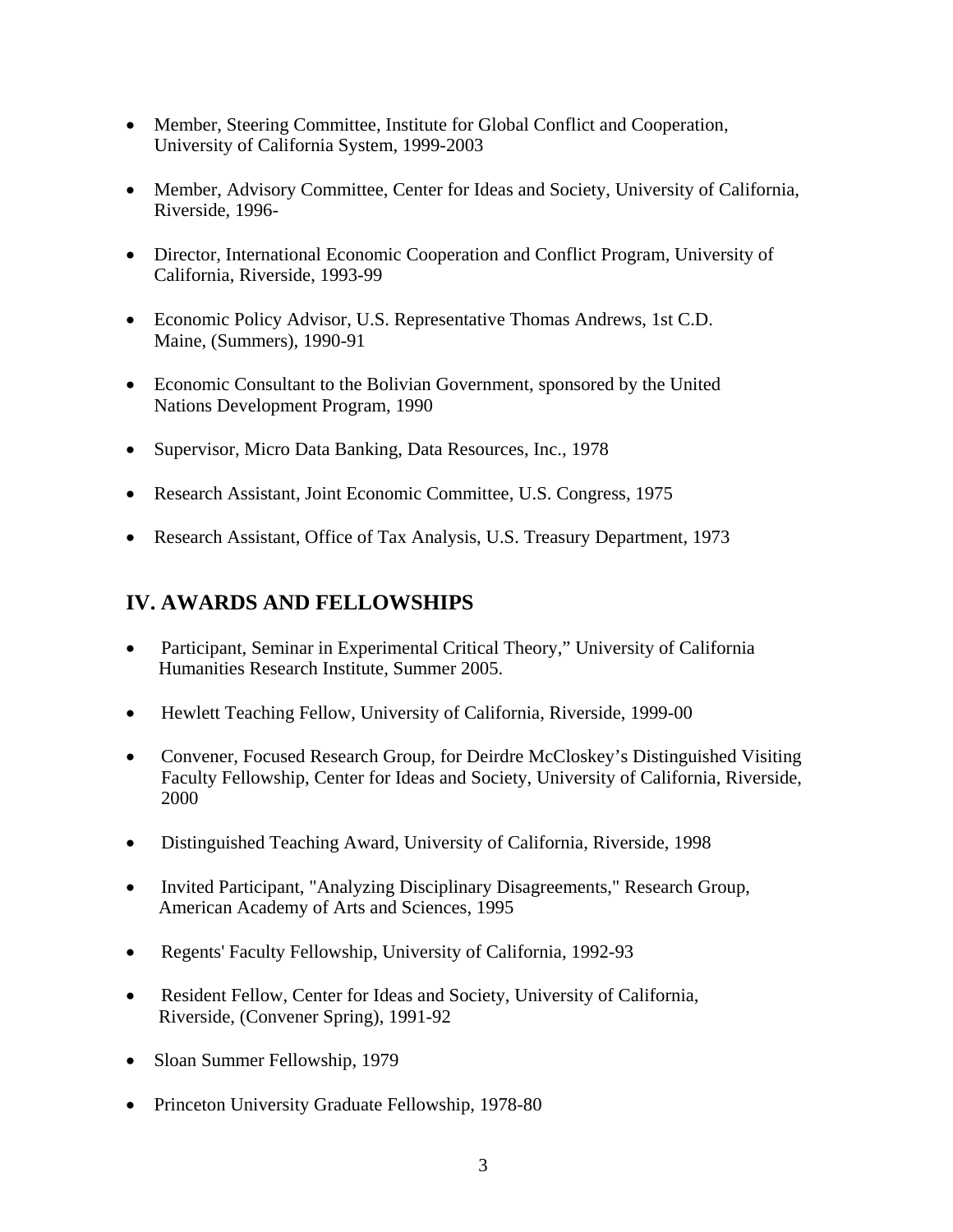- Member, Steering Committee, Institute for Global Conflict and Cooperation, University of California System, 1999-2003
- Member, Advisory Committee, Center for Ideas and Society, University of California, Riverside, 1996-
- Director, International Economic Cooperation and Conflict Program, University of California, Riverside, 1993-99
- Economic Policy Advisor, U.S. Representative Thomas Andrews, 1st C.D. Maine, (Summers), 1990-91
- Economic Consultant to the Bolivian Government, sponsored by the United Nations Development Program, 1990
- Supervisor, Micro Data Banking, Data Resources, Inc., 1978
- Research Assistant, Joint Economic Committee, U.S. Congress, 1975
- Research Assistant, Office of Tax Analysis, U.S. Treasury Department, 1973

### **IV. AWARDS AND FELLOWSHIPS**

- Participant, Seminar in Experimental Critical Theory," University of California Humanities Research Institute, Summer 2005.
- Hewlett Teaching Fellow, University of California, Riverside, 1999-00
- Convener, Focused Research Group, for Deirdre McCloskey's Distinguished Visiting Faculty Fellowship, Center for Ideas and Society, University of California, Riverside, 2000
- Distinguished Teaching Award, University of California, Riverside, 1998
- Invited Participant, "Analyzing Disciplinary Disagreements," Research Group, American Academy of Arts and Sciences, 1995
- Regents' Faculty Fellowship, University of California, 1992-93
- Resident Fellow, Center for Ideas and Society, University of California, Riverside, (Convener Spring), 1991-92
- Sloan Summer Fellowship, 1979
- Princeton University Graduate Fellowship, 1978-80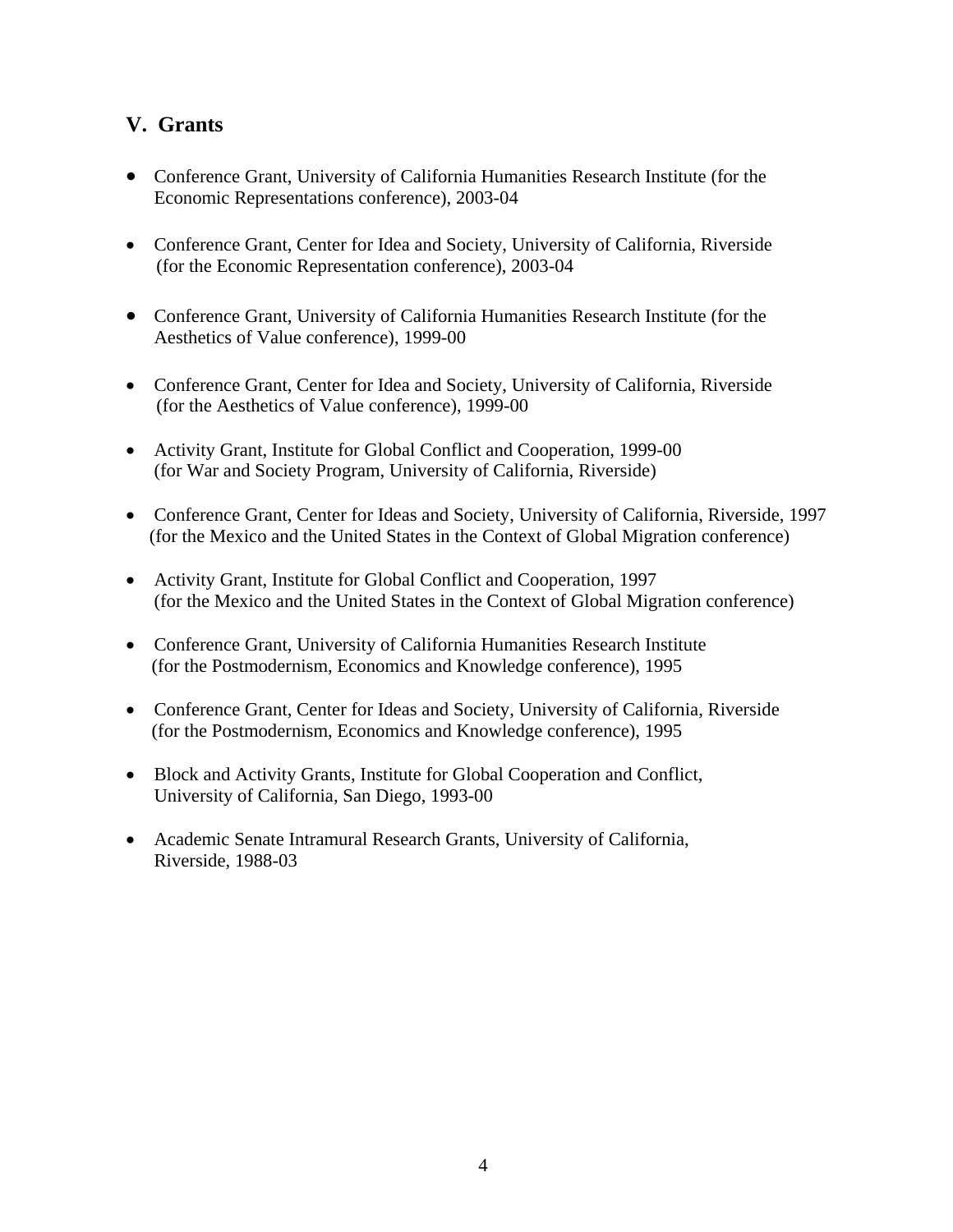### **V. Grants**

- Conference Grant, University of California Humanities Research Institute (for the Economic Representations conference), 2003-04
- Conference Grant, Center for Idea and Society, University of California, Riverside (for the Economic Representation conference), 2003-04
- Conference Grant, University of California Humanities Research Institute (for the Aesthetics of Value conference), 1999-00
- Conference Grant, Center for Idea and Society, University of California, Riverside (for the Aesthetics of Value conference), 1999-00
- Activity Grant, Institute for Global Conflict and Cooperation, 1999-00 (for War and Society Program, University of California, Riverside)
- Conference Grant, Center for Ideas and Society, University of California, Riverside, 1997 (for the Mexico and the United States in the Context of Global Migration conference)
- Activity Grant, Institute for Global Conflict and Cooperation, 1997 (for the Mexico and the United States in the Context of Global Migration conference)
- Conference Grant, University of California Humanities Research Institute (for the Postmodernism, Economics and Knowledge conference), 1995
- Conference Grant, Center for Ideas and Society, University of California, Riverside (for the Postmodernism, Economics and Knowledge conference), 1995
- Block and Activity Grants, Institute for Global Cooperation and Conflict, University of California, San Diego, 1993-00
- Academic Senate Intramural Research Grants, University of California, Riverside, 1988-03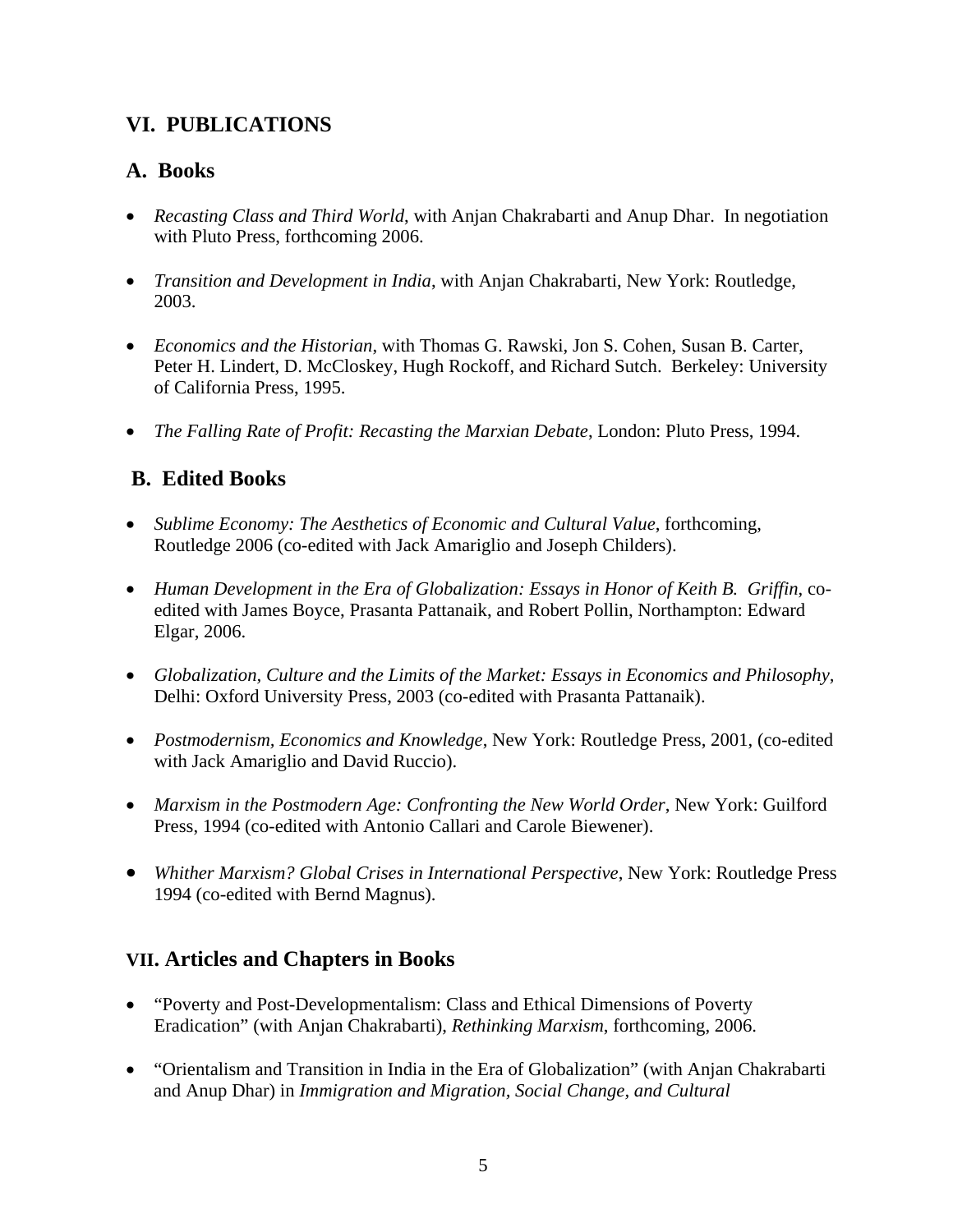# **VI. PUBLICATIONS**

### **A. Books**

- *Recasting Class and Third World*, with Anjan Chakrabarti and Anup Dhar. In negotiation with Pluto Press, forthcoming 2006.
- *Transition and Development in India*, with Anjan Chakrabarti, New York: Routledge, 2003.
- *Economics and the Historian*, with Thomas G. Rawski, Jon S. Cohen, Susan B. Carter, Peter H. Lindert, D. McCloskey, Hugh Rockoff, and Richard Sutch. Berkeley: University of California Press, 1995.
- *The Falling Rate of Profit: Recasting the Marxian Debate*, London: Pluto Press, 1994.

# **B. Edited Books**

- *Sublime Economy: The Aesthetics of Economic and Cultural Value*, forthcoming, Routledge 2006 (co-edited with Jack Amariglio and Joseph Childers).
- *Human Development in the Era of Globalization: Essays in Honor of Keith B. Griffin*, coedited with James Boyce, Prasanta Pattanaik, and Robert Pollin, Northampton: Edward Elgar, 2006.
- *Globalization, Culture and the Limits of the Market: Essays in Economics and Philosophy,*  Delhi: Oxford University Press, 2003 (co-edited with Prasanta Pattanaik).
- *Postmodernism, Economics and Knowledge*, New York: Routledge Press, 2001, (co-edited with Jack Amariglio and David Ruccio).
- *Marxism in the Postmodern Age: Confronting the New World Order*, New York: Guilford Press, 1994 (co-edited with Antonio Callari and Carole Biewener).
- *Whither Marxism? Global Crises in International Perspective*, New York: Routledge Press 1994 (co-edited with Bernd Magnus).

### **VII. Articles and Chapters in Books**

- "Poverty and Post-Developmentalism: Class and Ethical Dimensions of Poverty Eradication" (with Anjan Chakrabarti), *Rethinking Marxism*, forthcoming, 2006.
- "Orientalism and Transition in India in the Era of Globalization" (with Anjan Chakrabarti and Anup Dhar) in *Immigration and Migration, Social Change, and Cultural*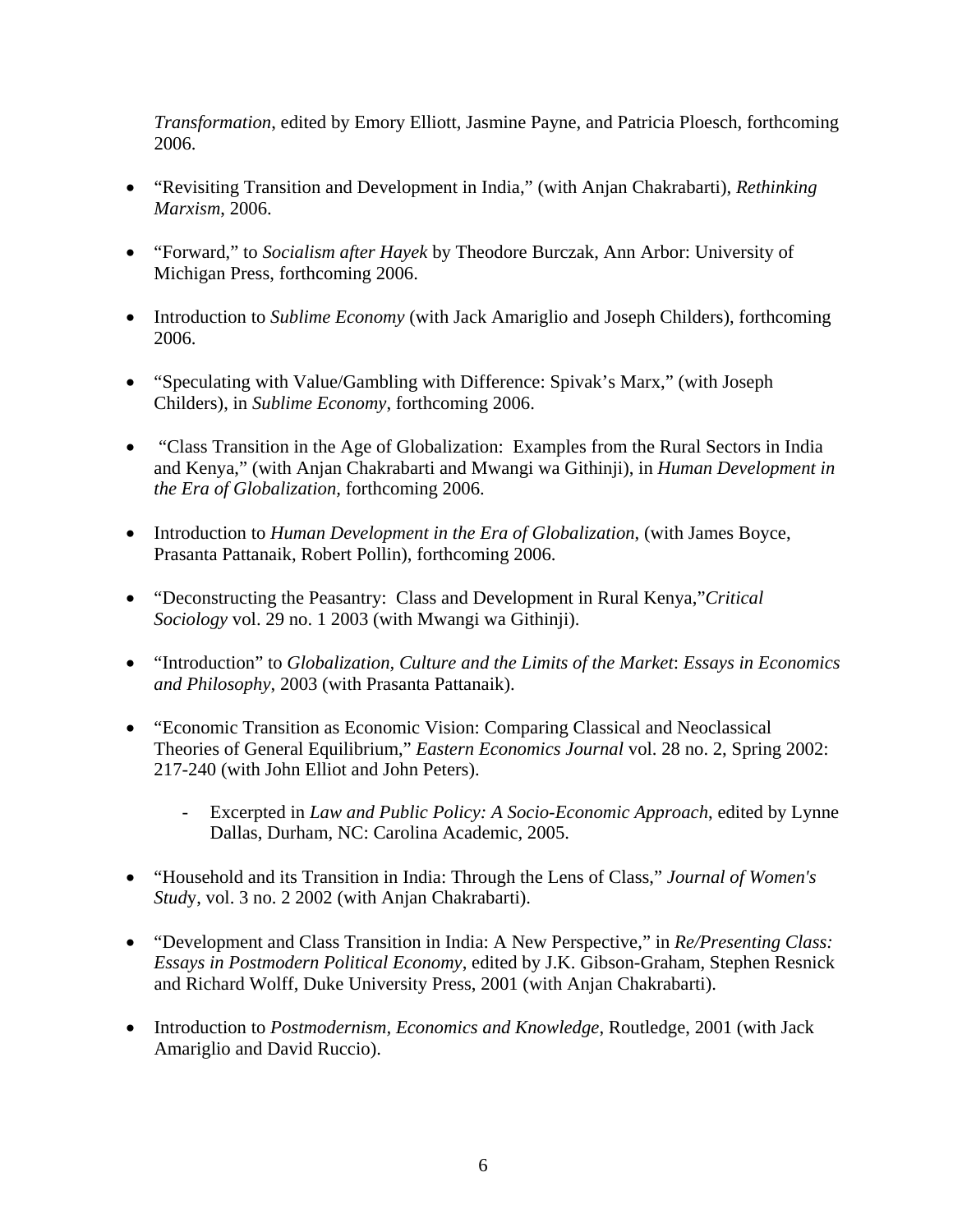*Transformation*, edited by Emory Elliott, Jasmine Payne, and Patricia Ploesch, forthcoming 2006.

- "Revisiting Transition and Development in India," (with Anjan Chakrabarti), *Rethinking Marxism*, 2006.
- "Forward," to *Socialism after Hayek* by Theodore Burczak, Ann Arbor: University of Michigan Press, forthcoming 2006.
- Introduction to *Sublime Economy* (with Jack Amariglio and Joseph Childers), forthcoming 2006.
- "Speculating with Value/Gambling with Difference: Spivak's Marx," (with Joseph Childers), in *Sublime Economy*, forthcoming 2006.
- "Class Transition in the Age of Globalization: Examples from the Rural Sectors in India and Kenya," (with Anjan Chakrabarti and Mwangi wa Githinji), in *Human Development in the Era of Globalization,* forthcoming 2006.
- Introduction to *Human Development in the Era of Globalization*, (with James Boyce, Prasanta Pattanaik, Robert Pollin), forthcoming 2006.
- "Deconstructing the Peasantry: Class and Development in Rural Kenya,"*Critical Sociology* vol. 29 no. 1 2003 (with Mwangi wa Githinji).
- "Introduction" to *Globalization, Culture and the Limits of the Market*: *Essays in Economics and Philosophy*, 2003 (with Prasanta Pattanaik).
- "Economic Transition as Economic Vision: Comparing Classical and Neoclassical Theories of General Equilibrium," *Eastern Economics Journal* vol. 28 no. 2, Spring 2002: 217-240 (with John Elliot and John Peters).
	- Excerpted in *Law and Public Policy: A Socio-Economic Approach*, edited by Lynne Dallas, Durham, NC: Carolina Academic, 2005.
- "Household and its Transition in India: Through the Lens of Class," *Journal of Women's Stud*y, vol. 3 no. 2 2002 (with Anjan Chakrabarti).
- "Development and Class Transition in India: A New Perspective," in *Re/Presenting Class: Essays in Postmodern Political Economy*, edited by J.K. Gibson-Graham, Stephen Resnick and Richard Wolff, Duke University Press, 2001 (with Anjan Chakrabarti).
- Introduction to *Postmodernism, Economics and Knowledge*, Routledge, 2001 (with Jack Amariglio and David Ruccio).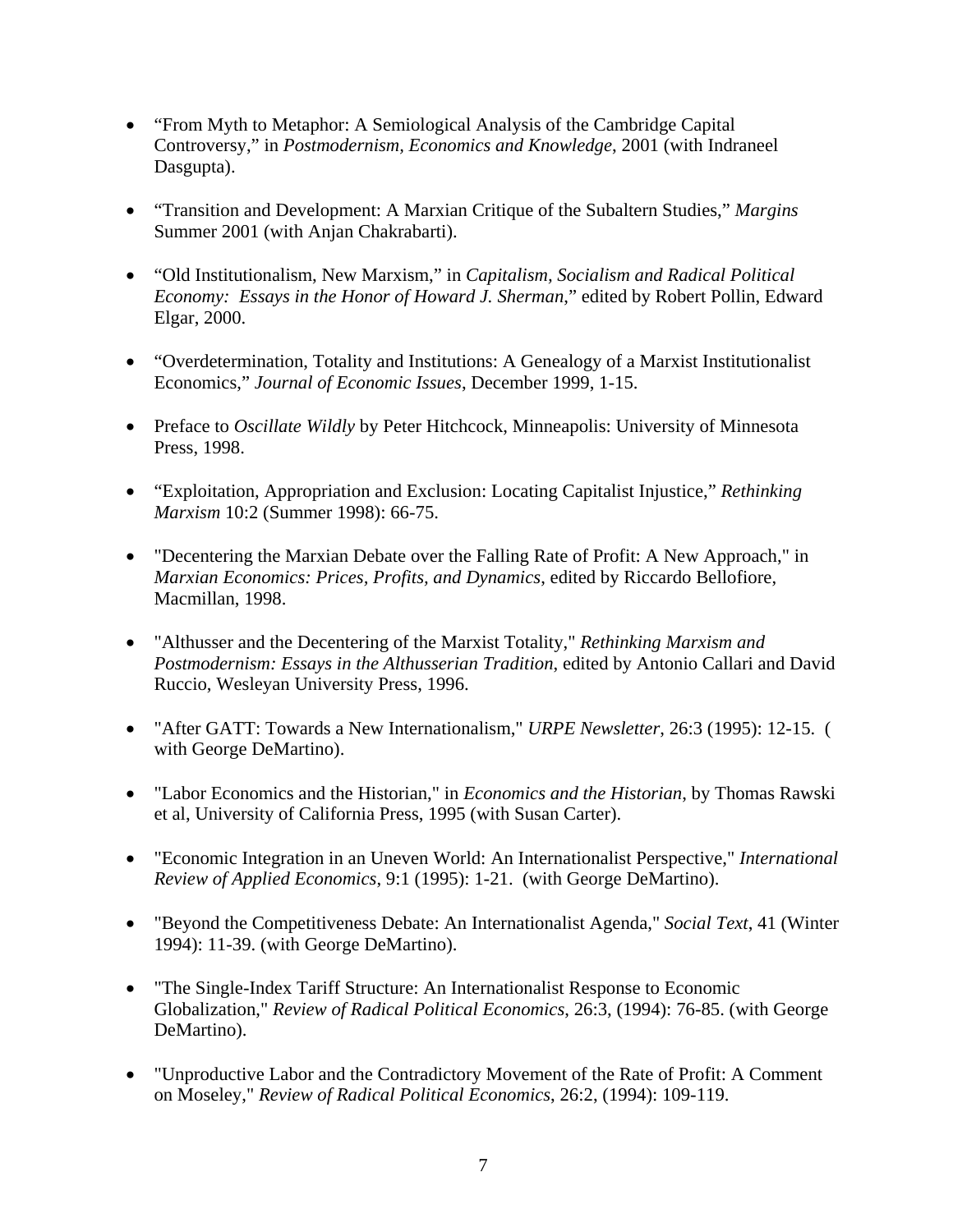- "From Myth to Metaphor: A Semiological Analysis of the Cambridge Capital Controversy," in *Postmodernism, Economics and Knowledge*, 2001 (with Indraneel Dasgupta).
- "Transition and Development: A Marxian Critique of the Subaltern Studies," *Margins* Summer 2001 (with Anjan Chakrabarti).
- "Old Institutionalism, New Marxism," in *Capitalism, Socialism and Radical Political Economy: Essays in the Honor of Howard J. Sherman*," edited by Robert Pollin, Edward Elgar, 2000.
- "Overdetermination, Totality and Institutions: A Genealogy of a Marxist Institutionalist Economics," *Journal of Economic Issues*, December 1999, 1-15.
- Preface to *Oscillate Wildly* by Peter Hitchcock, Minneapolis: University of Minnesota Press, 1998.
- "Exploitation, Appropriation and Exclusion: Locating Capitalist Injustice," *Rethinking Marxism* 10:2 (Summer 1998): 66-75.
- "Decentering the Marxian Debate over the Falling Rate of Profit: A New Approach," in *Marxian Economics: Prices, Profits, and Dynamics*, edited by Riccardo Bellofiore, Macmillan, 1998.
- "Althusser and the Decentering of the Marxist Totality," *Rethinking Marxism and Postmodernism: Essays in the Althusserian Tradition*, edited by Antonio Callari and David Ruccio, Wesleyan University Press, 1996.
- "After GATT: Towards a New Internationalism," *URPE Newsletter*, 26:3 (1995): 12-15. ( with George DeMartino).
- "Labor Economics and the Historian," in *Economics and the Historian*, by Thomas Rawski et al, University of California Press, 1995 (with Susan Carter).
- "Economic Integration in an Uneven World: An Internationalist Perspective," *International Review of Applied Economics*, 9:1 (1995): 1-21. (with George DeMartino).
- "Beyond the Competitiveness Debate: An Internationalist Agenda," *Social Text*, 41 (Winter 1994): 11-39. (with George DeMartino).
- "The Single-Index Tariff Structure: An Internationalist Response to Economic Globalization," *Review of Radical Political Economics*, 26:3, (1994): 76-85. (with George DeMartino).
- "Unproductive Labor and the Contradictory Movement of the Rate of Profit: A Comment on Moseley," *Review of Radical Political Economics*, 26:2, (1994): 109-119.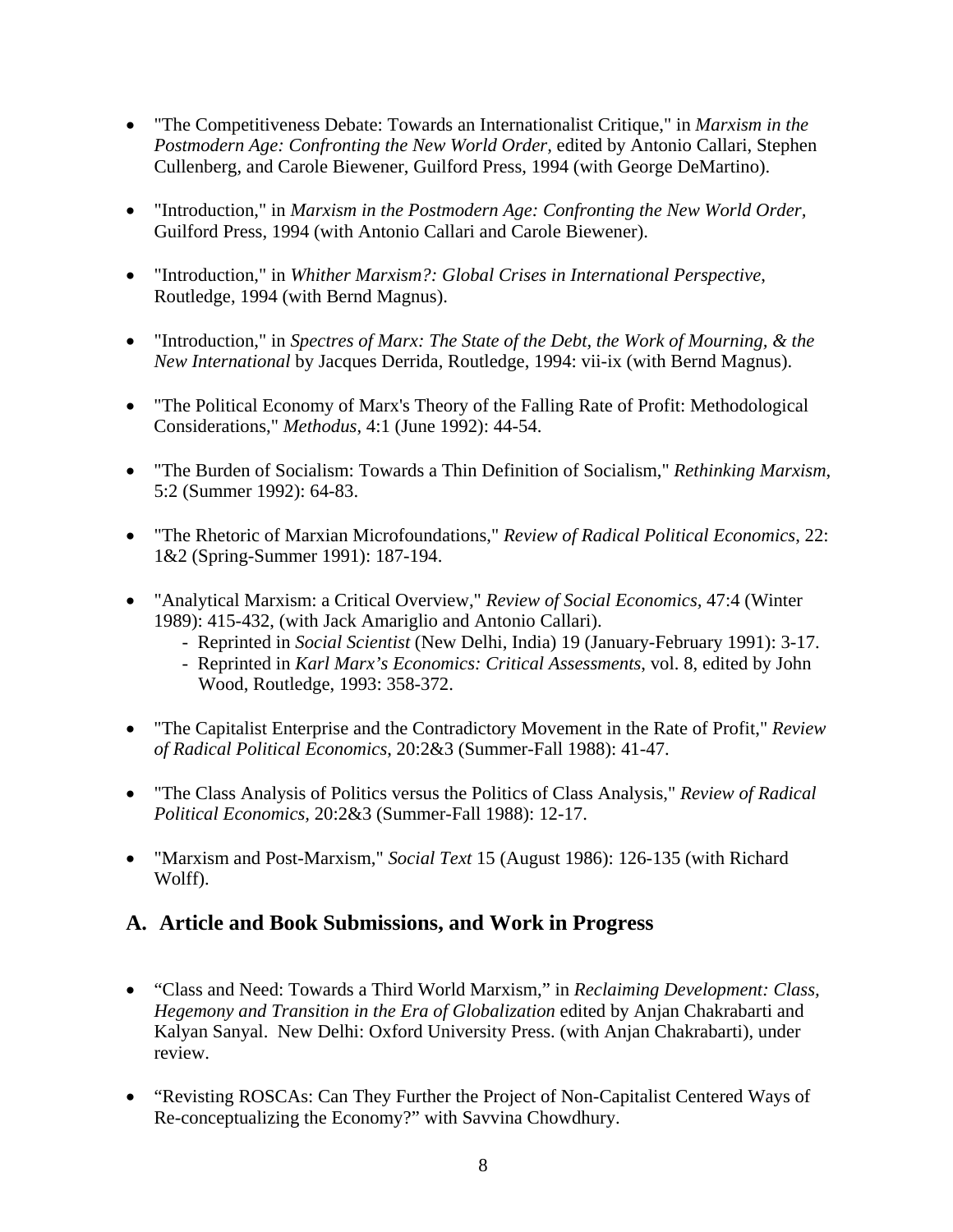- "The Competitiveness Debate: Towards an Internationalist Critique," in *Marxism in the Postmodern Age: Confronting the New World Order,* edited by Antonio Callari, Stephen Cullenberg, and Carole Biewener, Guilford Press, 1994 (with George DeMartino).
- "Introduction," in *Marxism in the Postmodern Age: Confronting the New World Order,*  Guilford Press, 1994 (with Antonio Callari and Carole Biewener).
- "Introduction," in *Whither Marxism?: Global Crises in International Perspective*, Routledge, 1994 (with Bernd Magnus).
- "Introduction," in *Spectres of Marx: The State of the Debt, the Work of Mourning, & the New International* by Jacques Derrida, Routledge, 1994: vii-ix (with Bernd Magnus).
- "The Political Economy of Marx's Theory of the Falling Rate of Profit: Methodological Considerations," *Methodus*, 4:1 (June 1992): 44-54.
- "The Burden of Socialism: Towards a Thin Definition of Socialism," *Rethinking Marxism*, 5:2 (Summer 1992): 64-83.
- "The Rhetoric of Marxian Microfoundations," *Review of Radical Political Economics*, 22: 1&2 (Spring-Summer 1991): 187-194.
- "Analytical Marxism: a Critical Overview," *Review of Social Economics,* 47:4 (Winter 1989): 415-432, (with Jack Amariglio and Antonio Callari).
	- Reprinted in *Social Scientist* (New Delhi, India) 19 (January-February 1991): 3-17.
	- Reprinted in *Karl Marx's Economics: Critical Assessments*, vol. 8, edited by John Wood, Routledge, 1993: 358-372.
- "The Capitalist Enterprise and the Contradictory Movement in the Rate of Profit," *Review of Radical Political Economics*, 20:2&3 (Summer-Fall 1988): 41-47.
- "The Class Analysis of Politics versus the Politics of Class Analysis," *Review of Radical Political Economics,* 20:2&3 (Summer-Fall 1988): 12-17.
- "Marxism and Post-Marxism," *Social Text* 15 (August 1986): 126-135 (with Richard Wolff).

#### **A. Article and Book Submissions, and Work in Progress**

- "Class and Need: Towards a Third World Marxism," in *Reclaiming Development: Class, Hegemony and Transition in the Era of Globalization* edited by Anjan Chakrabarti and Kalyan Sanyal. New Delhi: Oxford University Press. (with Anjan Chakrabarti), under review.
- "Revisting ROSCAs: Can They Further the Project of Non-Capitalist Centered Ways of Re-conceptualizing the Economy?" with Savvina Chowdhury.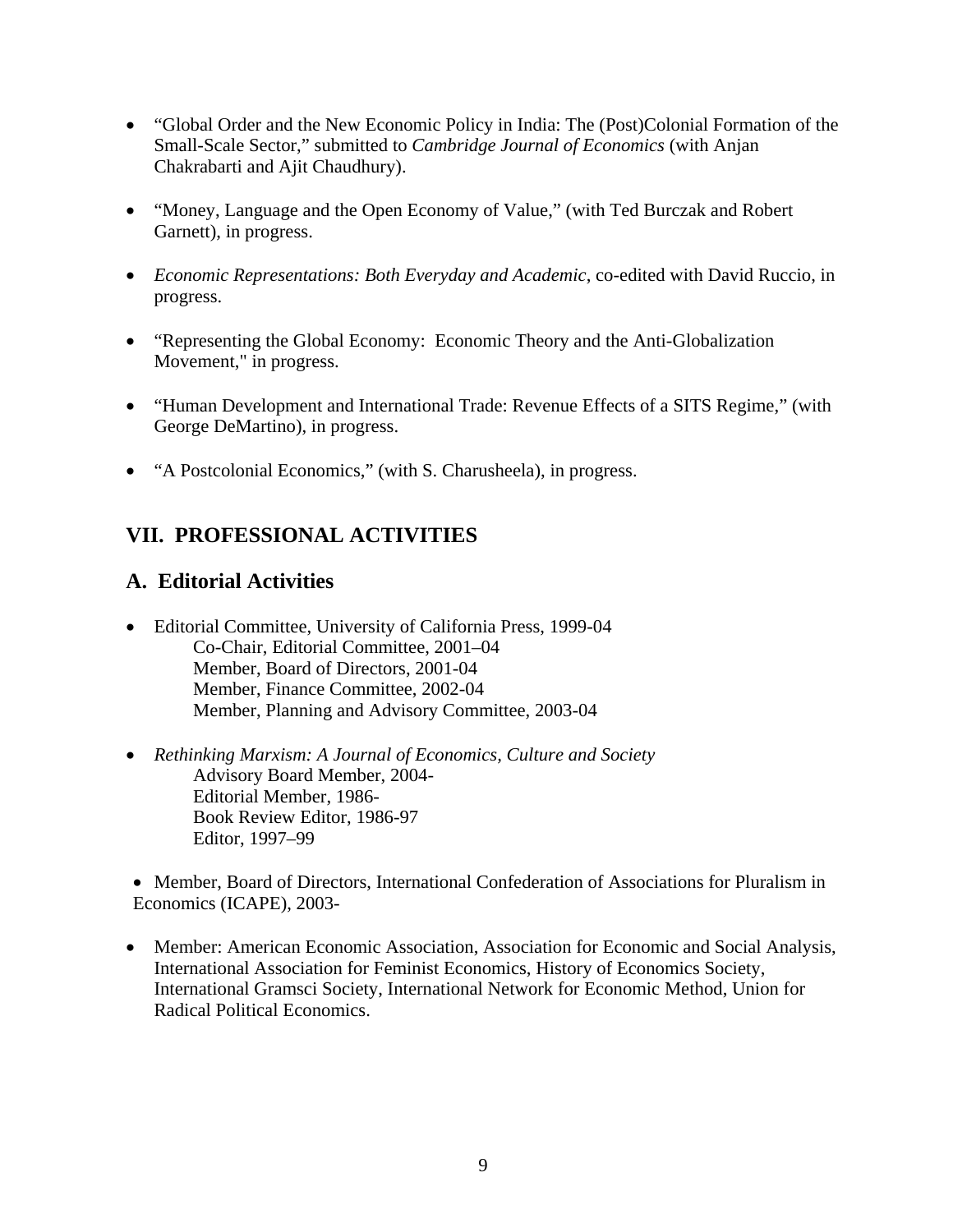- "Global Order and the New Economic Policy in India: The (Post)Colonial Formation of the Small-Scale Sector," submitted to *Cambridge Journal of Economics* (with Anjan Chakrabarti and Ajit Chaudhury).
- "Money, Language and the Open Economy of Value," (with Ted Burczak and Robert Garnett), in progress.
- *Economic Representations: Both Everyday and Academic*, co-edited with David Ruccio, in progress.
- "Representing the Global Economy: Economic Theory and the Anti-Globalization Movement," in progress.
- "Human Development and International Trade: Revenue Effects of a SITS Regime," (with George DeMartino), in progress.
- "A Postcolonial Economics," (with S. Charusheela), in progress.

# **VII. PROFESSIONAL ACTIVITIES**

### **A. Editorial Activities**

- Editorial Committee, University of California Press, 1999-04 Co-Chair, Editorial Committee, 2001–04 Member, Board of Directors, 2001-04 Member, Finance Committee, 2002-04 Member, Planning and Advisory Committee, 2003-04
- *Rethinking Marxism: A Journal of Economics, Culture and Society* Advisory Board Member, 2004- Editorial Member, 1986- Book Review Editor, 1986-97 Editor, 1997–99

• Member, Board of Directors, International Confederation of Associations for Pluralism in Economics (ICAPE), 2003-

• Member: American Economic Association, Association for Economic and Social Analysis, International Association for Feminist Economics, History of Economics Society, International Gramsci Society, International Network for Economic Method, Union for Radical Political Economics.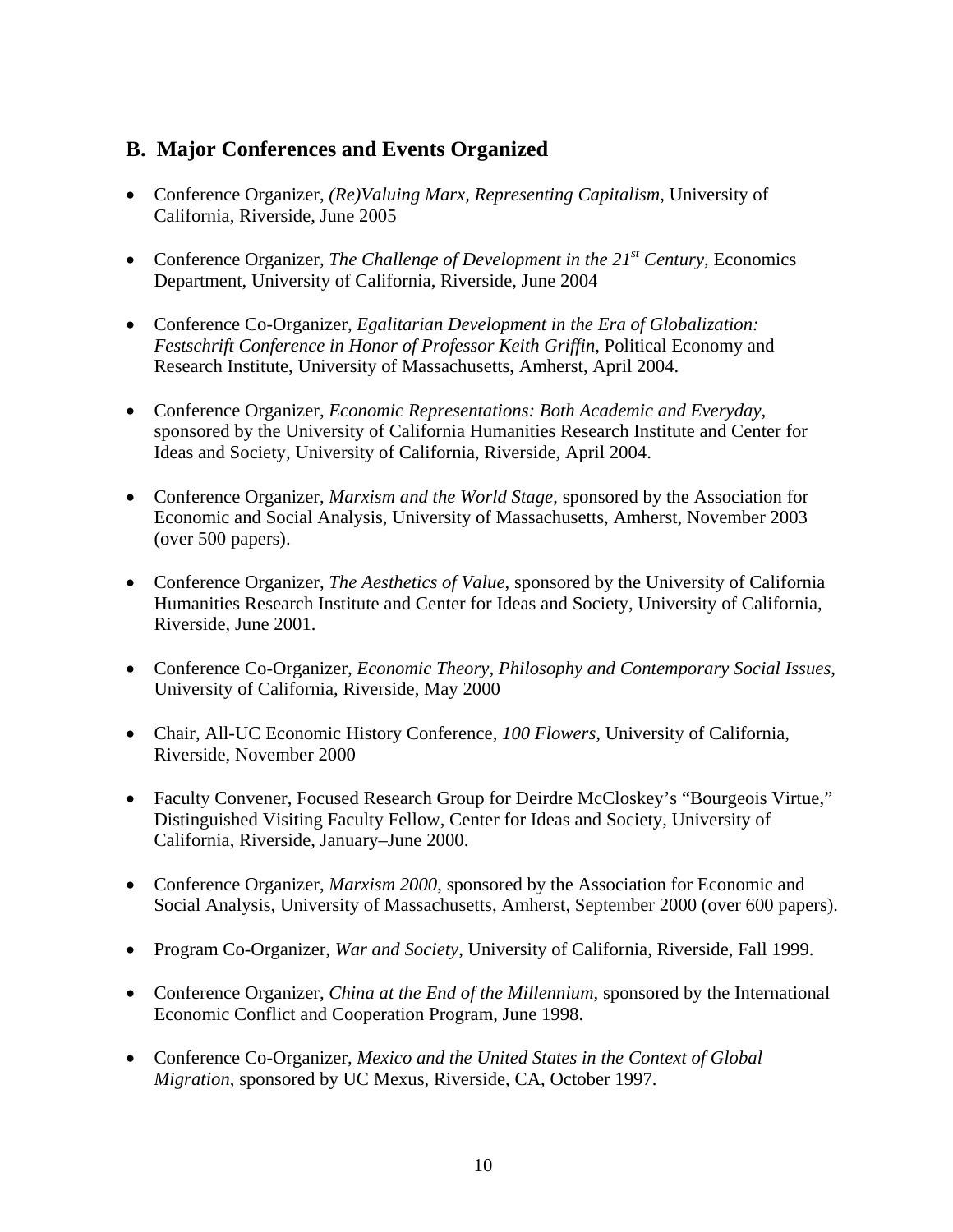### **B. Major Conferences and Events Organized**

- Conference Organizer, *(Re)Valuing Marx, Representing Capitalism*, University of California, Riverside, June 2005
- Conference Organizer, *The Challenge of Development in the 21<sup>st</sup> Century*, Economics Department, University of California, Riverside, June 2004
- Conference Co-Organizer, *Egalitarian Development in the Era of Globalization: Festschrift Conference in Honor of Professor Keith Griffin*, Political Economy and Research Institute, University of Massachusetts, Amherst, April 2004.
- Conference Organizer, *Economic Representations: Both Academic and Everyday*, sponsored by the University of California Humanities Research Institute and Center for Ideas and Society, University of California, Riverside, April 2004.
- Conference Organizer, *Marxism and the World Stage*, sponsored by the Association for Economic and Social Analysis, University of Massachusetts, Amherst, November 2003 (over 500 papers).
- Conference Organizer, *The Aesthetics of Value*, sponsored by the University of California Humanities Research Institute and Center for Ideas and Society, University of California, Riverside, June 2001.
- Conference Co-Organizer, *Economic Theory, Philosophy and Contemporary Social Issues*, University of California, Riverside, May 2000
- Chair, All-UC Economic History Conference, *100 Flowers*, University of California, Riverside, November 2000
- Faculty Convener, Focused Research Group for Deirdre McCloskey's "Bourgeois Virtue," Distinguished Visiting Faculty Fellow, Center for Ideas and Society, University of California, Riverside, January–June 2000.
- Conference Organizer, *Marxism 2000*, sponsored by the Association for Economic and Social Analysis, University of Massachusetts, Amherst, September 2000 (over 600 papers).
- Program Co-Organizer, *War and Society*, University of California, Riverside, Fall 1999.
- Conference Organizer, *China at the End of the Millennium*, sponsored by the International Economic Conflict and Cooperation Program, June 1998.
- Conference Co-Organizer, *Mexico and the United States in the Context of Global Migration*, sponsored by UC Mexus, Riverside, CA, October 1997.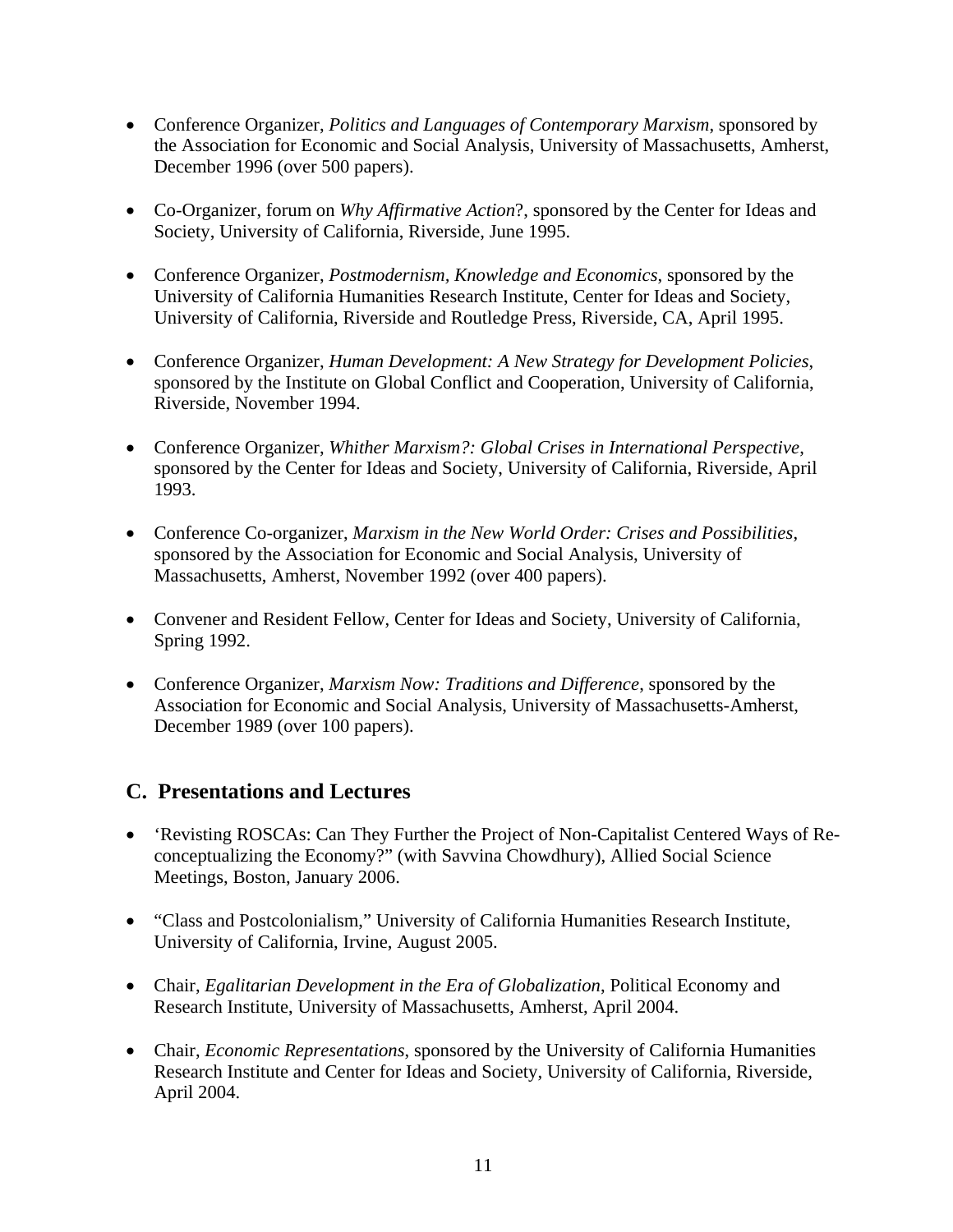- Conference Organizer, *Politics and Languages of Contemporary Marxism*, sponsored by the Association for Economic and Social Analysis, University of Massachusetts, Amherst, December 1996 (over 500 papers).
- Co-Organizer, forum on *Why Affirmative Action*?, sponsored by the Center for Ideas and Society, University of California, Riverside, June 1995.
- Conference Organizer, *Postmodernism, Knowledge and Economics*, sponsored by the University of California Humanities Research Institute, Center for Ideas and Society, University of California, Riverside and Routledge Press, Riverside, CA, April 1995.
- Conference Organizer, *Human Development: A New Strategy for Development Policies*, sponsored by the Institute on Global Conflict and Cooperation, University of California, Riverside, November 1994.
- Conference Organizer, *Whither Marxism?: Global Crises in International Perspective*, sponsored by the Center for Ideas and Society, University of California, Riverside, April 1993.
- Conference Co-organizer, *Marxism in the New World Order: Crises and Possibilities*, sponsored by the Association for Economic and Social Analysis, University of Massachusetts, Amherst, November 1992 (over 400 papers).
- Convener and Resident Fellow, Center for Ideas and Society, University of California, Spring 1992.
- Conference Organizer, *Marxism Now: Traditions and Difference*, sponsored by the Association for Economic and Social Analysis, University of Massachusetts-Amherst, December 1989 (over 100 papers).

### **C. Presentations and Lectures**

- 'Revisting ROSCAs: Can They Further the Project of Non-Capitalist Centered Ways of Reconceptualizing the Economy?" (with Savvina Chowdhury), Allied Social Science Meetings, Boston, January 2006.
- "Class and Postcolonialism," University of California Humanities Research Institute, University of California, Irvine, August 2005.
- Chair, *Egalitarian Development in the Era of Globalization*, Political Economy and Research Institute, University of Massachusetts, Amherst, April 2004.
- Chair, *Economic Representations*, sponsored by the University of California Humanities Research Institute and Center for Ideas and Society, University of California, Riverside, April 2004.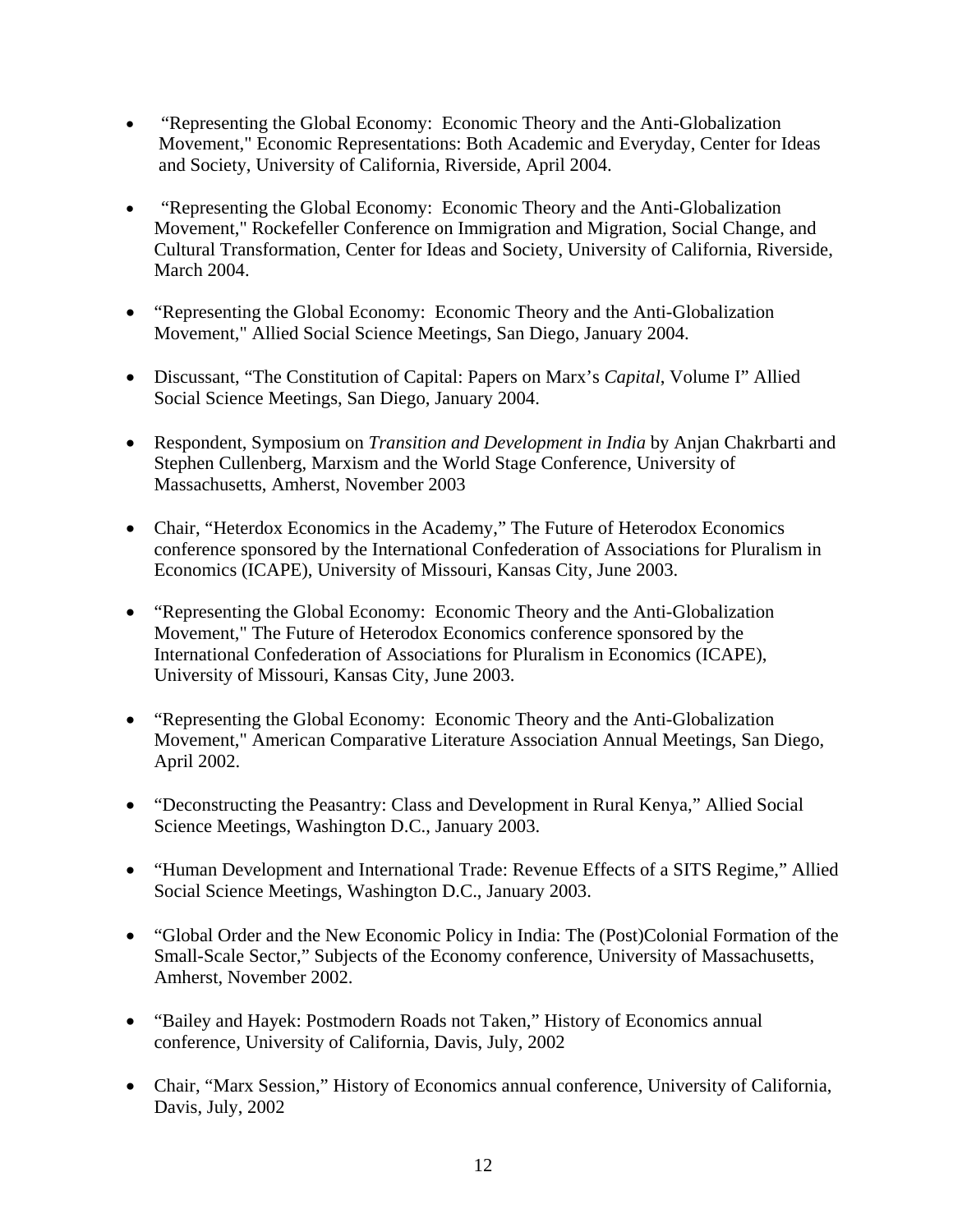- "Representing the Global Economy: Economic Theory and the Anti-Globalization Movement," Economic Representations: Both Academic and Everyday, Center for Ideas and Society, University of California, Riverside, April 2004.
- "Representing the Global Economy: Economic Theory and the Anti-Globalization Movement," Rockefeller Conference on Immigration and Migration, Social Change, and Cultural Transformation, Center for Ideas and Society, University of California, Riverside, March 2004.
- "Representing the Global Economy: Economic Theory and the Anti-Globalization Movement," Allied Social Science Meetings, San Diego, January 2004.
- Discussant, "The Constitution of Capital: Papers on Marx's *Capital*, Volume I" Allied Social Science Meetings, San Diego, January 2004.
- Respondent, Symposium on *Transition and Development in India* by Anjan Chakrbarti and Stephen Cullenberg, Marxism and the World Stage Conference, University of Massachusetts, Amherst, November 2003
- Chair, "Heterdox Economics in the Academy," The Future of Heterodox Economics conference sponsored by the International Confederation of Associations for Pluralism in Economics (ICAPE), University of Missouri, Kansas City, June 2003.
- "Representing the Global Economy: Economic Theory and the Anti-Globalization Movement," The Future of Heterodox Economics conference sponsored by the International Confederation of Associations for Pluralism in Economics (ICAPE), University of Missouri, Kansas City, June 2003.
- "Representing the Global Economy: Economic Theory and the Anti-Globalization Movement," American Comparative Literature Association Annual Meetings, San Diego, April 2002.
- "Deconstructing the Peasantry: Class and Development in Rural Kenya," Allied Social Science Meetings, Washington D.C., January 2003.
- "Human Development and International Trade: Revenue Effects of a SITS Regime," Allied Social Science Meetings, Washington D.C., January 2003.
- "Global Order and the New Economic Policy in India: The (Post)Colonial Formation of the Small-Scale Sector," Subjects of the Economy conference, University of Massachusetts, Amherst, November 2002.
- "Bailey and Hayek: Postmodern Roads not Taken," History of Economics annual conference, University of California, Davis, July, 2002
- Chair, "Marx Session," History of Economics annual conference, University of California, Davis, July, 2002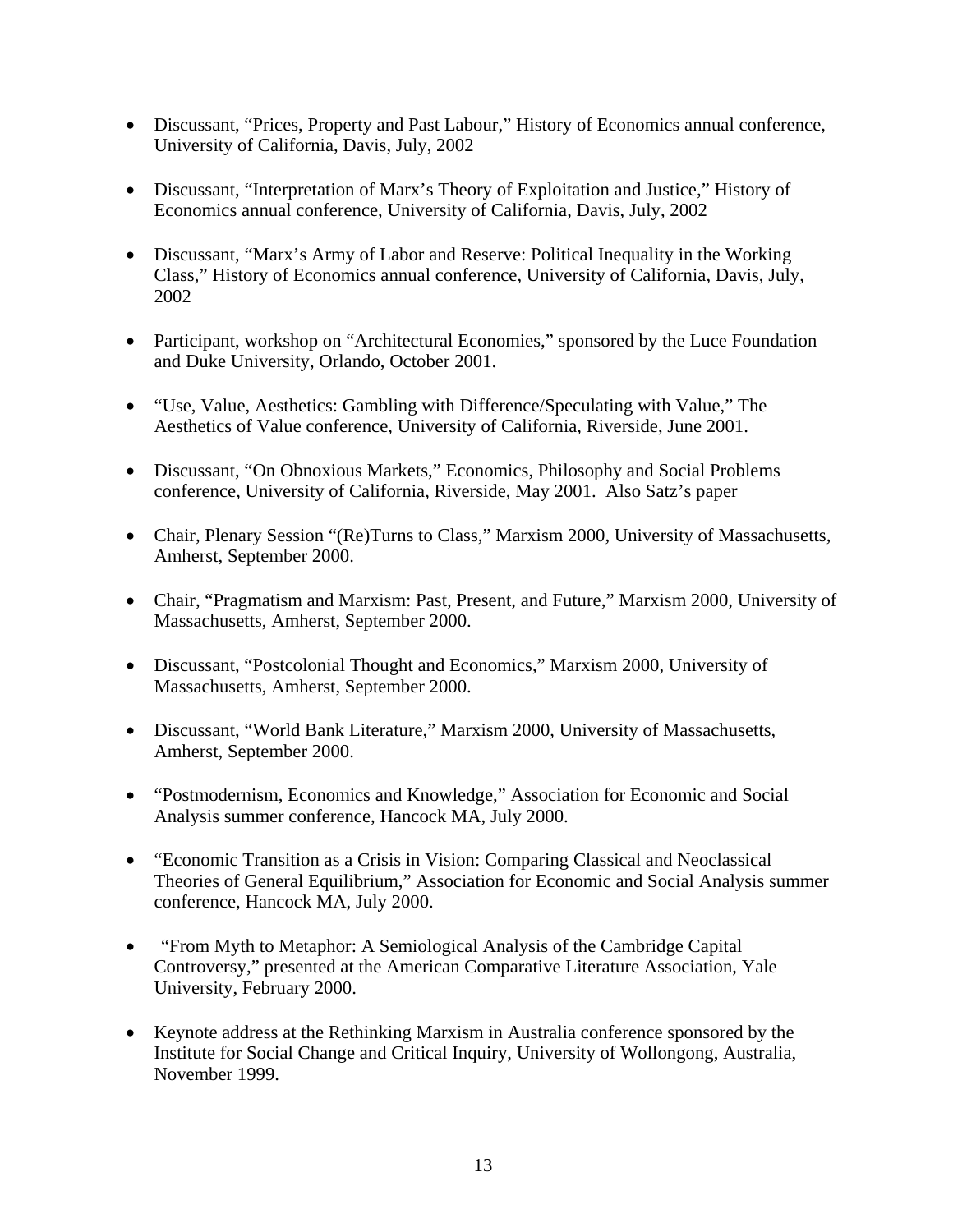- Discussant, "Prices, Property and Past Labour," History of Economics annual conference, University of California, Davis, July, 2002
- Discussant, "Interpretation of Marx's Theory of Exploitation and Justice," History of Economics annual conference, University of California, Davis, July, 2002
- Discussant, "Marx's Army of Labor and Reserve: Political Inequality in the Working Class," History of Economics annual conference, University of California, Davis, July, 2002
- Participant, workshop on "Architectural Economies," sponsored by the Luce Foundation and Duke University, Orlando, October 2001.
- "Use, Value, Aesthetics: Gambling with Difference/Speculating with Value," The Aesthetics of Value conference, University of California, Riverside, June 2001.
- Discussant, "On Obnoxious Markets," Economics, Philosophy and Social Problems conference, University of California, Riverside, May 2001. Also Satz's paper
- Chair, Plenary Session "(Re)Turns to Class," Marxism 2000, University of Massachusetts, Amherst, September 2000.
- Chair, "Pragmatism and Marxism: Past, Present, and Future," Marxism 2000, University of Massachusetts, Amherst, September 2000.
- Discussant, "Postcolonial Thought and Economics," Marxism 2000, University of Massachusetts, Amherst, September 2000.
- Discussant, "World Bank Literature," Marxism 2000, University of Massachusetts, Amherst, September 2000.
- "Postmodernism, Economics and Knowledge," Association for Economic and Social Analysis summer conference, Hancock MA, July 2000.
- "Economic Transition as a Crisis in Vision: Comparing Classical and Neoclassical Theories of General Equilibrium," Association for Economic and Social Analysis summer conference, Hancock MA, July 2000.
- "From Myth to Metaphor: A Semiological Analysis of the Cambridge Capital Controversy," presented at the American Comparative Literature Association, Yale University, February 2000.
- Keynote address at the Rethinking Marxism in Australia conference sponsored by the Institute for Social Change and Critical Inquiry, University of Wollongong, Australia, November 1999.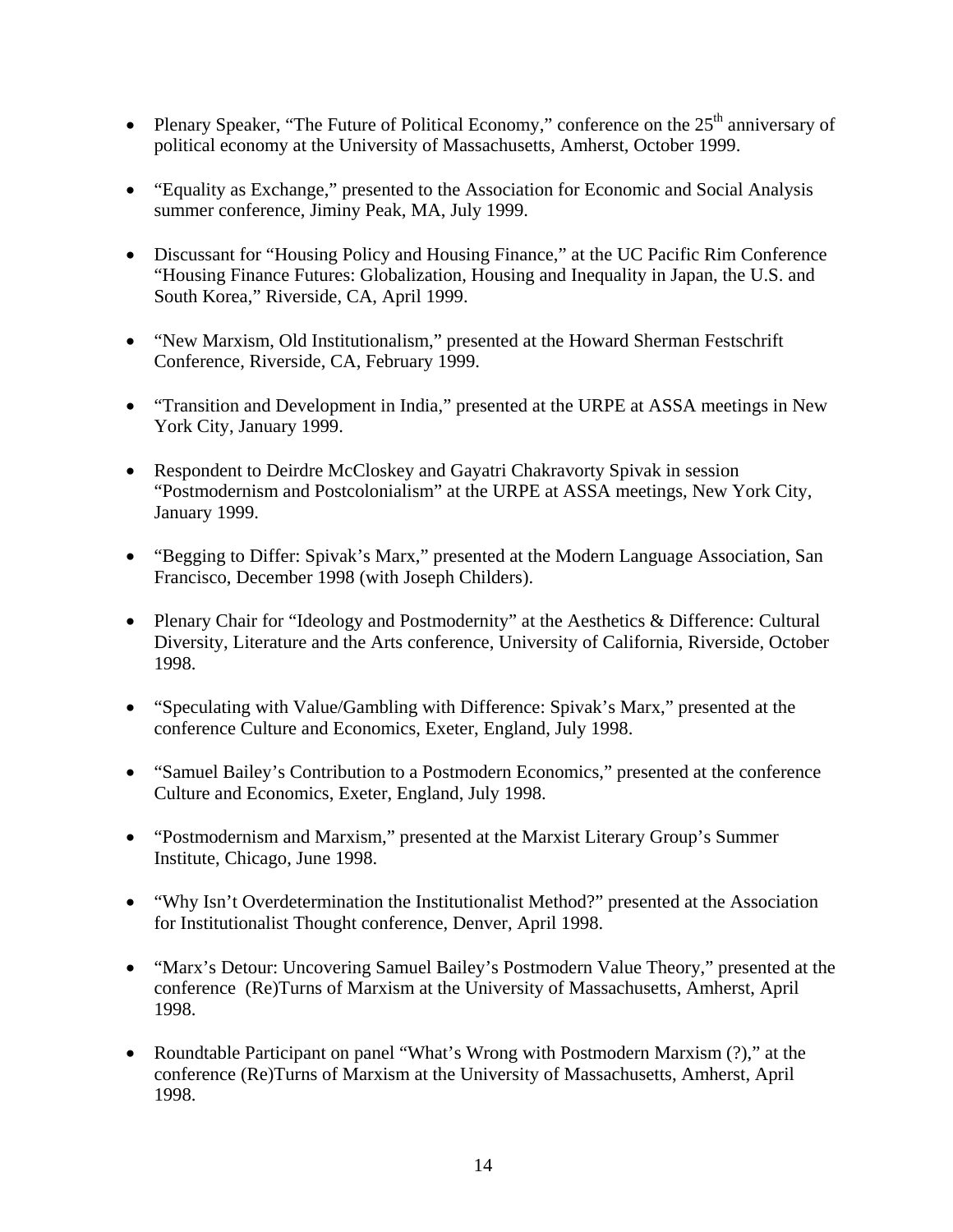- Plenary Speaker, "The Future of Political Economy," conference on the  $25<sup>th</sup>$  anniversary of political economy at the University of Massachusetts, Amherst, October 1999.
- "Equality as Exchange," presented to the Association for Economic and Social Analysis summer conference, Jiminy Peak, MA, July 1999.
- Discussant for "Housing Policy and Housing Finance," at the UC Pacific Rim Conference "Housing Finance Futures: Globalization, Housing and Inequality in Japan, the U.S. and South Korea," Riverside, CA, April 1999.
- "New Marxism, Old Institutionalism," presented at the Howard Sherman Festschrift Conference, Riverside, CA, February 1999.
- "Transition and Development in India," presented at the URPE at ASSA meetings in New York City, January 1999.
- Respondent to Deirdre McCloskey and Gayatri Chakravorty Spivak in session "Postmodernism and Postcolonialism" at the URPE at ASSA meetings, New York City, January 1999.
- "Begging to Differ: Spivak's Marx," presented at the Modern Language Association, San Francisco, December 1998 (with Joseph Childers).
- Plenary Chair for "Ideology and Postmodernity" at the Aesthetics & Difference: Cultural Diversity, Literature and the Arts conference, University of California, Riverside, October 1998.
- "Speculating with Value/Gambling with Difference: Spivak's Marx," presented at the conference Culture and Economics, Exeter, England, July 1998.
- "Samuel Bailey's Contribution to a Postmodern Economics," presented at the conference Culture and Economics, Exeter, England, July 1998.
- "Postmodernism and Marxism," presented at the Marxist Literary Group's Summer Institute, Chicago, June 1998.
- "Why Isn't Overdetermination the Institutionalist Method?" presented at the Association for Institutionalist Thought conference, Denver, April 1998.
- "Marx's Detour: Uncovering Samuel Bailey's Postmodern Value Theory," presented at the conference (Re)Turns of Marxism at the University of Massachusetts, Amherst, April 1998.
- Roundtable Participant on panel "What's Wrong with Postmodern Marxism (?)," at the conference (Re)Turns of Marxism at the University of Massachusetts, Amherst, April 1998.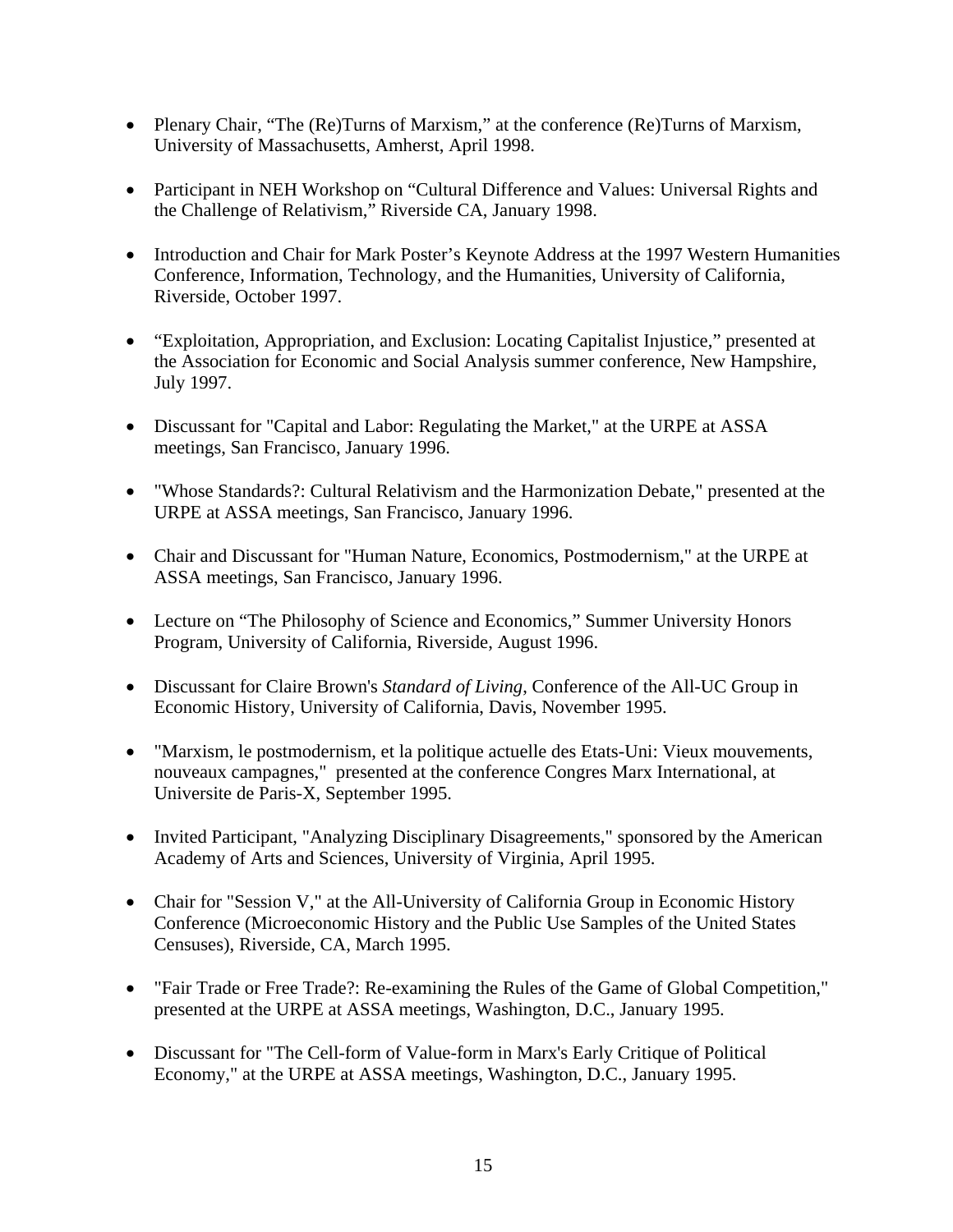- Plenary Chair, "The (Re)Turns of Marxism," at the conference (Re)Turns of Marxism, University of Massachusetts, Amherst, April 1998.
- Participant in NEH Workshop on "Cultural Difference and Values: Universal Rights and the Challenge of Relativism," Riverside CA, January 1998.
- Introduction and Chair for Mark Poster's Keynote Address at the 1997 Western Humanities Conference, Information, Technology, and the Humanities, University of California, Riverside, October 1997.
- "Exploitation, Appropriation, and Exclusion: Locating Capitalist Injustice," presented at the Association for Economic and Social Analysis summer conference, New Hampshire, July 1997.
- Discussant for "Capital and Labor: Regulating the Market," at the URPE at ASSA meetings, San Francisco, January 1996.
- "Whose Standards?: Cultural Relativism and the Harmonization Debate," presented at the URPE at ASSA meetings, San Francisco, January 1996.
- Chair and Discussant for "Human Nature, Economics, Postmodernism," at the URPE at ASSA meetings, San Francisco, January 1996.
- Lecture on "The Philosophy of Science and Economics," Summer University Honors Program, University of California, Riverside, August 1996.
- Discussant for Claire Brown's *Standard of Living*, Conference of the All-UC Group in Economic History, University of California, Davis, November 1995.
- "Marxism, le postmodernism, et la politique actuelle des Etats-Uni: Vieux mouvements, nouveaux campagnes," presented at the conference Congres Marx International, at Universite de Paris-X, September 1995.
- Invited Participant, "Analyzing Disciplinary Disagreements," sponsored by the American Academy of Arts and Sciences, University of Virginia, April 1995.
- Chair for "Session V," at the All-University of California Group in Economic History Conference (Microeconomic History and the Public Use Samples of the United States Censuses), Riverside, CA, March 1995.
- "Fair Trade or Free Trade?: Re-examining the Rules of the Game of Global Competition," presented at the URPE at ASSA meetings, Washington, D.C., January 1995.
- Discussant for "The Cell-form of Value-form in Marx's Early Critique of Political Economy," at the URPE at ASSA meetings, Washington, D.C., January 1995.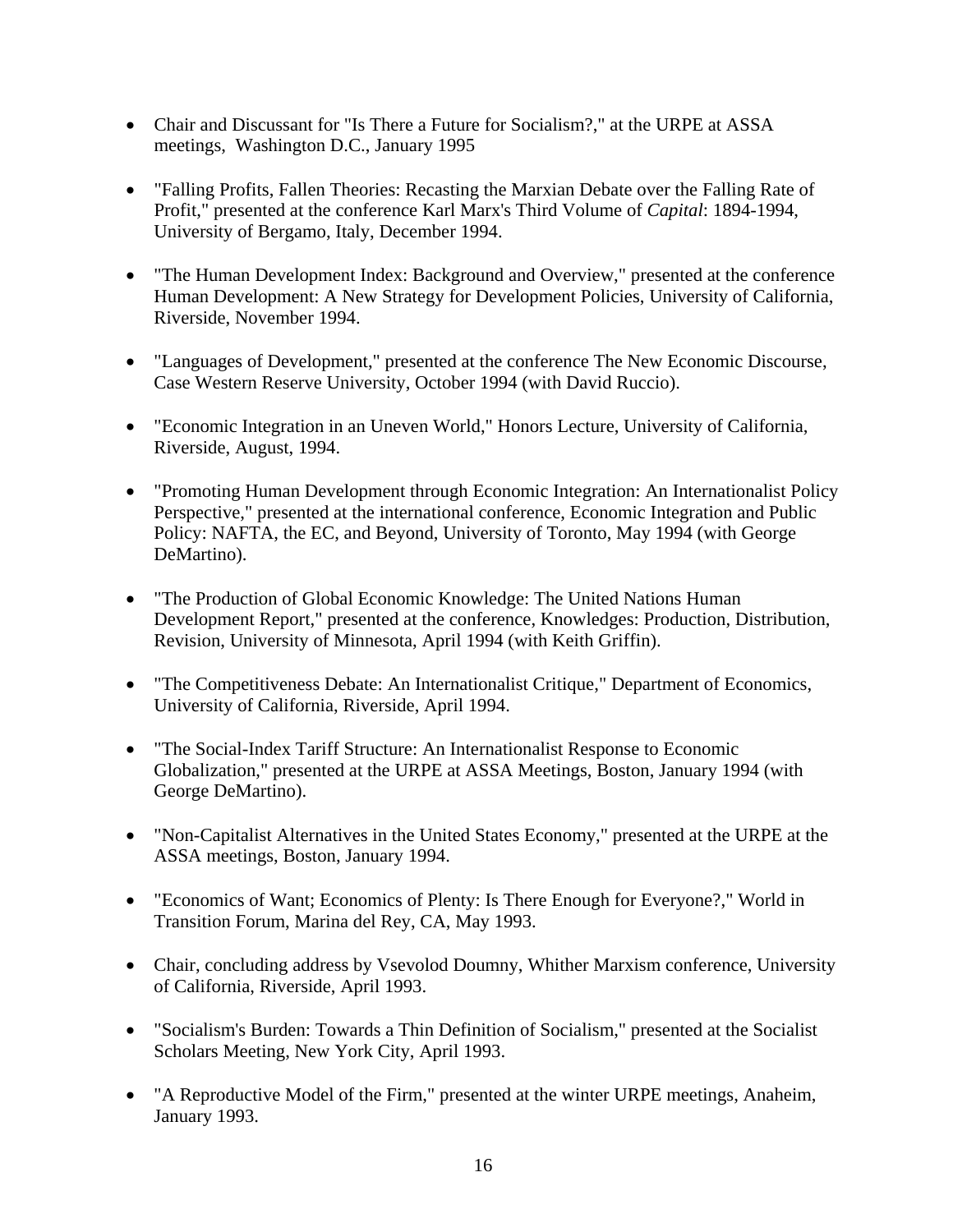- Chair and Discussant for "Is There a Future for Socialism?," at the URPE at ASSA meetings, Washington D.C., January 1995
- "Falling Profits, Fallen Theories: Recasting the Marxian Debate over the Falling Rate of Profit," presented at the conference Karl Marx's Third Volume of *Capital*: 1894-1994, University of Bergamo, Italy, December 1994.
- "The Human Development Index: Background and Overview," presented at the conference Human Development: A New Strategy for Development Policies, University of California, Riverside, November 1994.
- "Languages of Development," presented at the conference The New Economic Discourse, Case Western Reserve University, October 1994 (with David Ruccio).
- "Economic Integration in an Uneven World," Honors Lecture, University of California, Riverside, August, 1994.
- "Promoting Human Development through Economic Integration: An Internationalist Policy Perspective," presented at the international conference, Economic Integration and Public Policy: NAFTA, the EC, and Beyond, University of Toronto, May 1994 (with George DeMartino).
- "The Production of Global Economic Knowledge: The United Nations Human Development Report," presented at the conference, Knowledges: Production, Distribution, Revision, University of Minnesota, April 1994 (with Keith Griffin).
- "The Competitiveness Debate: An Internationalist Critique," Department of Economics, University of California, Riverside, April 1994.
- "The Social-Index Tariff Structure: An Internationalist Response to Economic Globalization," presented at the URPE at ASSA Meetings, Boston, January 1994 (with George DeMartino).
- "Non-Capitalist Alternatives in the United States Economy," presented at the URPE at the ASSA meetings, Boston, January 1994.
- "Economics of Want; Economics of Plenty: Is There Enough for Everyone?," World in Transition Forum, Marina del Rey, CA, May 1993.
- Chair, concluding address by Vsevolod Doumny, Whither Marxism conference, University of California, Riverside, April 1993.
- "Socialism's Burden: Towards a Thin Definition of Socialism," presented at the Socialist Scholars Meeting, New York City, April 1993.
- "A Reproductive Model of the Firm," presented at the winter URPE meetings, Anaheim, January 1993.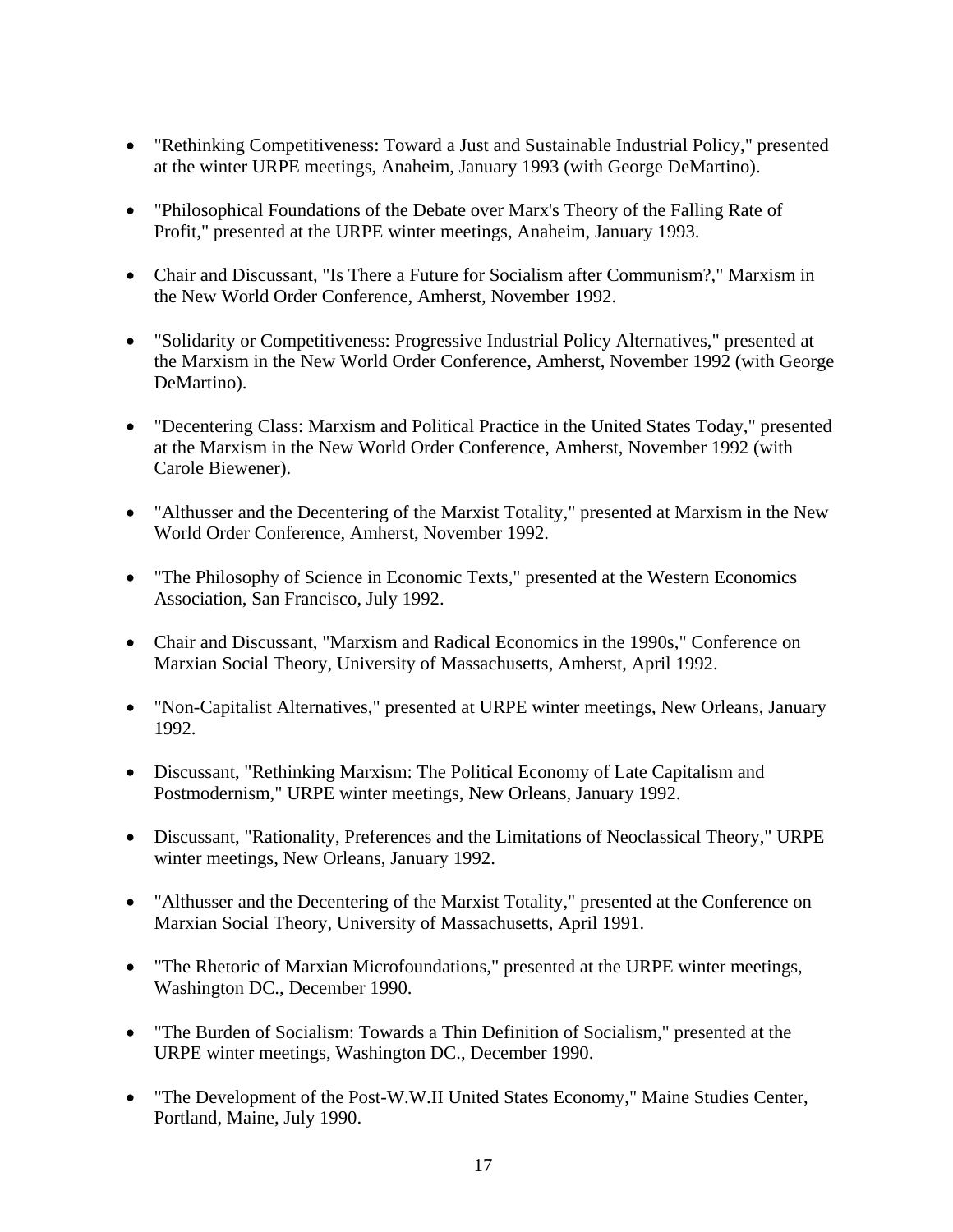- "Rethinking Competitiveness: Toward a Just and Sustainable Industrial Policy," presented at the winter URPE meetings, Anaheim, January 1993 (with George DeMartino).
- "Philosophical Foundations of the Debate over Marx's Theory of the Falling Rate of Profit," presented at the URPE winter meetings, Anaheim, January 1993.
- Chair and Discussant, "Is There a Future for Socialism after Communism?," Marxism in the New World Order Conference, Amherst, November 1992.
- "Solidarity or Competitiveness: Progressive Industrial Policy Alternatives," presented at the Marxism in the New World Order Conference, Amherst, November 1992 (with George DeMartino).
- "Decentering Class: Marxism and Political Practice in the United States Today," presented at the Marxism in the New World Order Conference, Amherst, November 1992 (with Carole Biewener).
- "Althusser and the Decentering of the Marxist Totality," presented at Marxism in the New World Order Conference, Amherst, November 1992.
- "The Philosophy of Science in Economic Texts," presented at the Western Economics Association, San Francisco, July 1992.
- Chair and Discussant, "Marxism and Radical Economics in the 1990s," Conference on Marxian Social Theory, University of Massachusetts, Amherst, April 1992.
- "Non-Capitalist Alternatives," presented at URPE winter meetings, New Orleans, January 1992.
- Discussant, "Rethinking Marxism: The Political Economy of Late Capitalism and Postmodernism," URPE winter meetings, New Orleans, January 1992.
- Discussant, "Rationality, Preferences and the Limitations of Neoclassical Theory," URPE winter meetings, New Orleans, January 1992.
- "Althusser and the Decentering of the Marxist Totality," presented at the Conference on Marxian Social Theory, University of Massachusetts, April 1991.
- "The Rhetoric of Marxian Microfoundations," presented at the URPE winter meetings, Washington DC., December 1990.
- "The Burden of Socialism: Towards a Thin Definition of Socialism," presented at the URPE winter meetings, Washington DC., December 1990.
- "The Development of the Post-W.W.II United States Economy," Maine Studies Center, Portland, Maine, July 1990.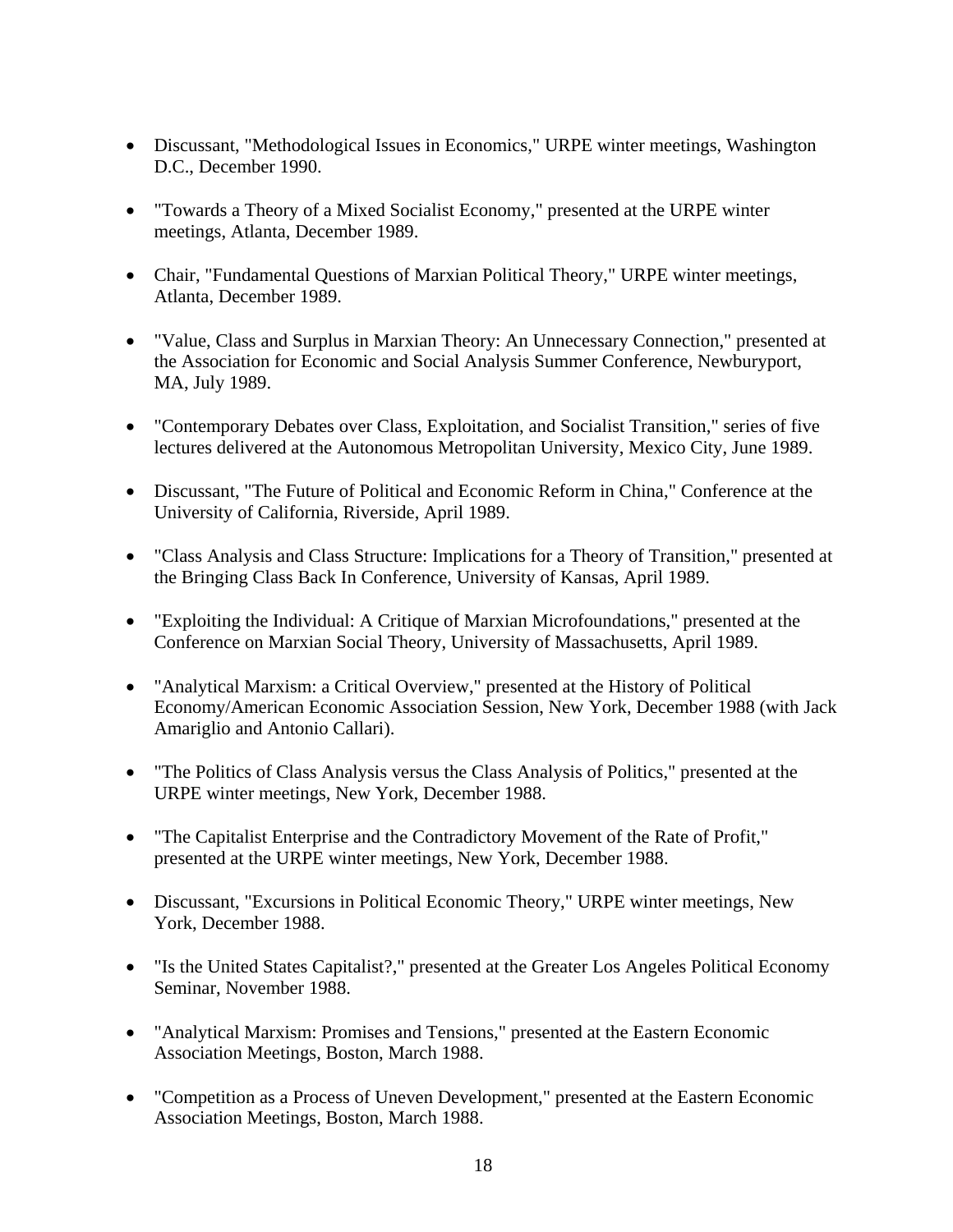- Discussant, "Methodological Issues in Economics," URPE winter meetings, Washington D.C., December 1990.
- "Towards a Theory of a Mixed Socialist Economy," presented at the URPE winter meetings, Atlanta, December 1989.
- Chair, "Fundamental Questions of Marxian Political Theory," URPE winter meetings, Atlanta, December 1989.
- "Value, Class and Surplus in Marxian Theory: An Unnecessary Connection," presented at the Association for Economic and Social Analysis Summer Conference, Newburyport, MA, July 1989.
- "Contemporary Debates over Class, Exploitation, and Socialist Transition," series of five lectures delivered at the Autonomous Metropolitan University, Mexico City, June 1989.
- Discussant, "The Future of Political and Economic Reform in China," Conference at the University of California, Riverside, April 1989.
- "Class Analysis and Class Structure: Implications for a Theory of Transition," presented at the Bringing Class Back In Conference, University of Kansas, April 1989.
- "Exploiting the Individual: A Critique of Marxian Microfoundations," presented at the Conference on Marxian Social Theory, University of Massachusetts, April 1989.
- "Analytical Marxism: a Critical Overview," presented at the History of Political Economy/American Economic Association Session, New York, December 1988 (with Jack Amariglio and Antonio Callari).
- "The Politics of Class Analysis versus the Class Analysis of Politics," presented at the URPE winter meetings, New York, December 1988.
- "The Capitalist Enterprise and the Contradictory Movement of the Rate of Profit," presented at the URPE winter meetings, New York, December 1988.
- Discussant, "Excursions in Political Economic Theory," URPE winter meetings, New York, December 1988.
- "Is the United States Capitalist?," presented at the Greater Los Angeles Political Economy Seminar, November 1988.
- "Analytical Marxism: Promises and Tensions," presented at the Eastern Economic Association Meetings, Boston, March 1988.
- "Competition as a Process of Uneven Development," presented at the Eastern Economic Association Meetings, Boston, March 1988.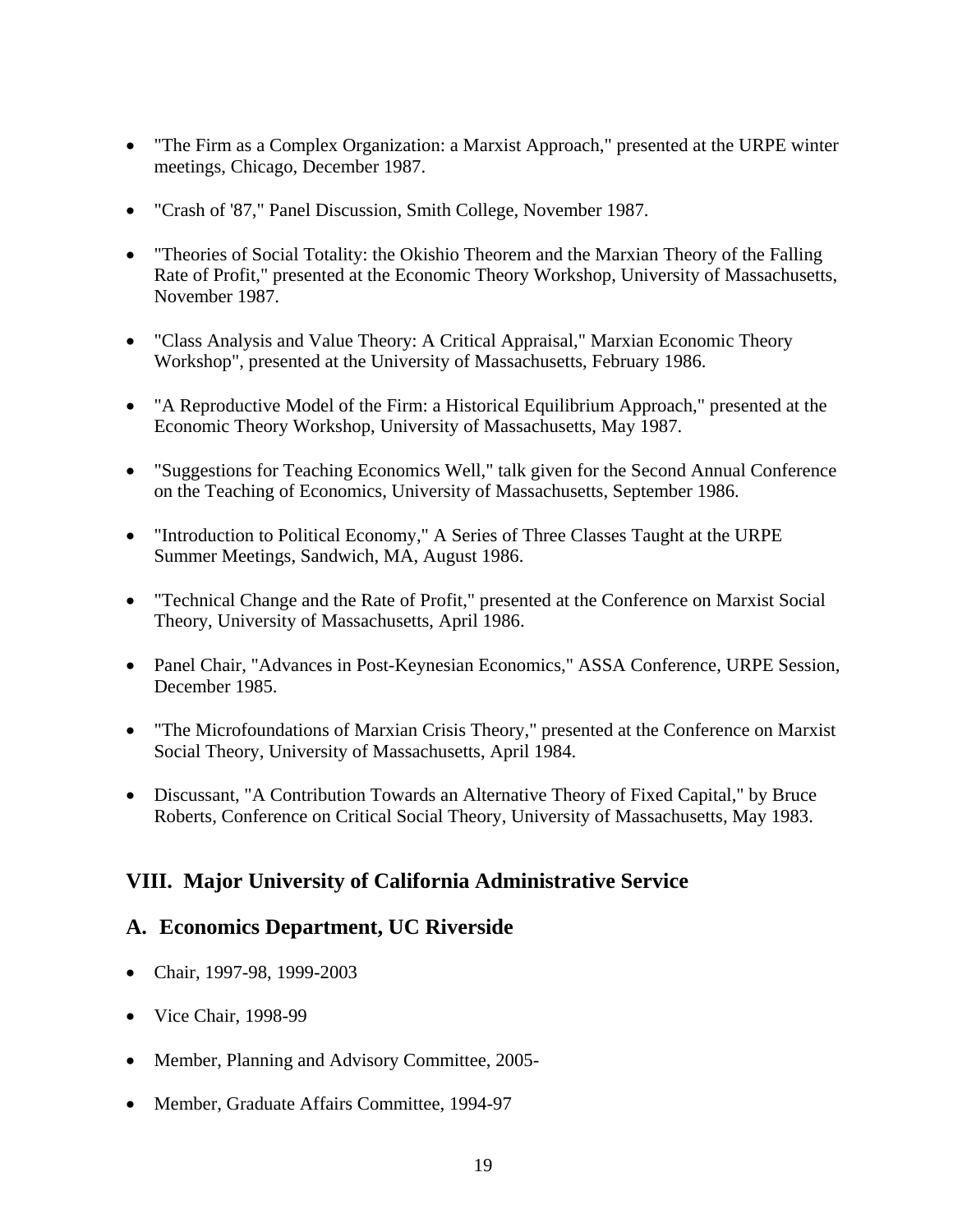- "The Firm as a Complex Organization: a Marxist Approach," presented at the URPE winter meetings, Chicago, December 1987.
- "Crash of '87," Panel Discussion, Smith College, November 1987.
- Theories of Social Totality: the Okishio Theorem and the Marxian Theory of the Falling Rate of Profit," presented at the Economic Theory Workshop, University of Massachusetts, November 1987.
- "Class Analysis and Value Theory: A Critical Appraisal," Marxian Economic Theory Workshop", presented at the University of Massachusetts, February 1986.
- "A Reproductive Model of the Firm: a Historical Equilibrium Approach," presented at the Economic Theory Workshop, University of Massachusetts, May 1987.
- "Suggestions for Teaching Economics Well," talk given for the Second Annual Conference on the Teaching of Economics, University of Massachusetts, September 1986.
- "Introduction to Political Economy," A Series of Three Classes Taught at the URPE Summer Meetings, Sandwich, MA, August 1986.
- "Technical Change and the Rate of Profit," presented at the Conference on Marxist Social Theory, University of Massachusetts, April 1986.
- Panel Chair, "Advances in Post-Keynesian Economics," ASSA Conference, URPE Session, December 1985.
- "The Microfoundations of Marxian Crisis Theory," presented at the Conference on Marxist Social Theory, University of Massachusetts, April 1984.
- Discussant, "A Contribution Towards an Alternative Theory of Fixed Capital," by Bruce Roberts, Conference on Critical Social Theory, University of Massachusetts, May 1983.

### **VIII. Major University of California Administrative Service**

#### **A. Economics Department, UC Riverside**

- Chair, 1997-98, 1999-2003
- Vice Chair, 1998-99
- Member, Planning and Advisory Committee, 2005-
- Member, Graduate Affairs Committee, 1994-97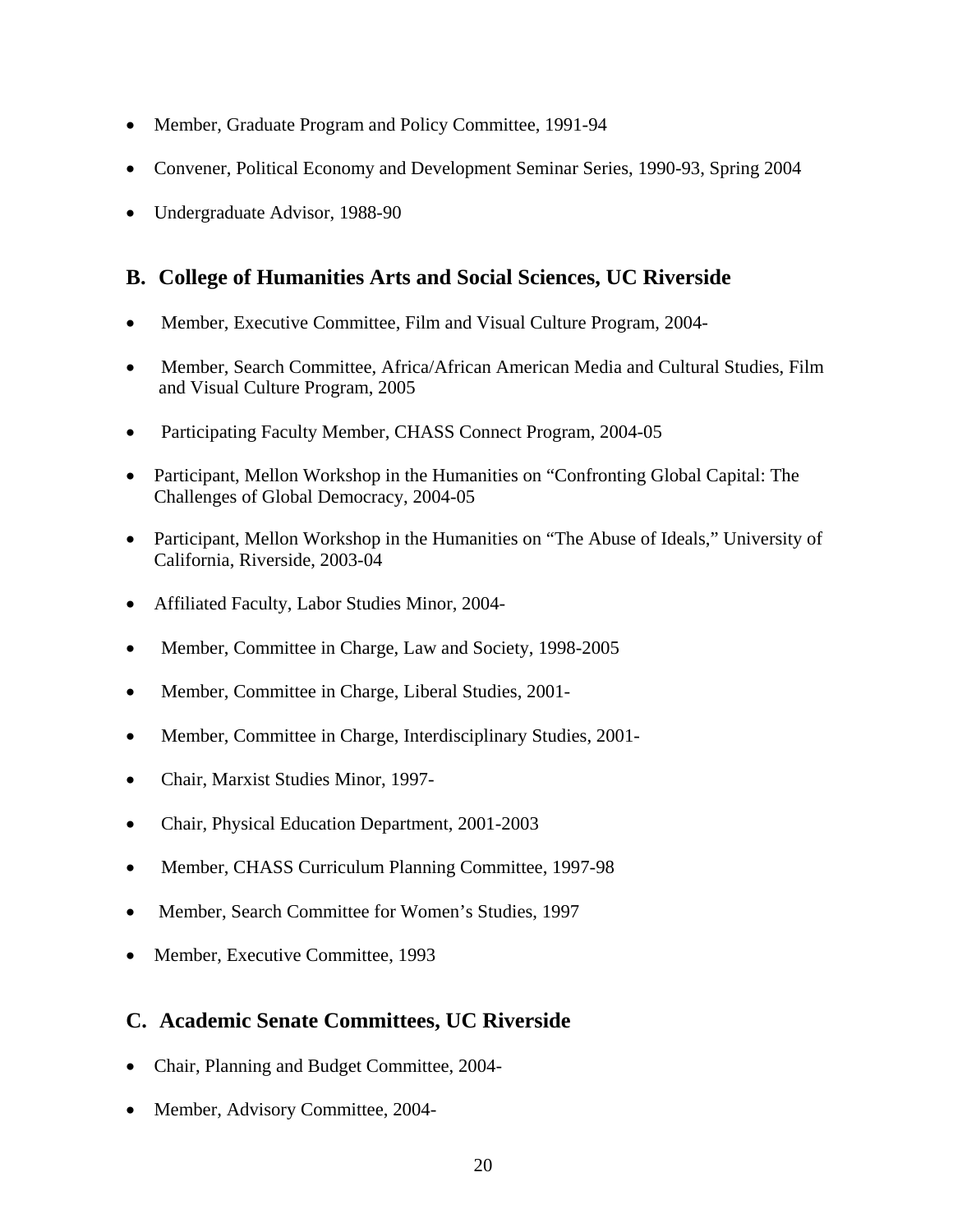- Member, Graduate Program and Policy Committee, 1991-94
- Convener, Political Economy and Development Seminar Series, 1990-93, Spring 2004
- Undergraduate Advisor, 1988-90

#### **B. College of Humanities Arts and Social Sciences, UC Riverside**

- Member, Executive Committee, Film and Visual Culture Program, 2004-
- Member, Search Committee, Africa/African American Media and Cultural Studies, Film and Visual Culture Program, 2005
- Participating Faculty Member, CHASS Connect Program, 2004-05
- Participant, Mellon Workshop in the Humanities on "Confronting Global Capital: The Challenges of Global Democracy, 2004-05
- Participant, Mellon Workshop in the Humanities on "The Abuse of Ideals," University of California, Riverside, 2003-04
- Affiliated Faculty, Labor Studies Minor, 2004-
- Member, Committee in Charge, Law and Society, 1998-2005
- Member, Committee in Charge, Liberal Studies, 2001-
- Member, Committee in Charge, Interdisciplinary Studies, 2001-
- Chair, Marxist Studies Minor, 1997-
- Chair, Physical Education Department, 2001-2003
- Member, CHASS Curriculum Planning Committee, 1997-98
- Member, Search Committee for Women's Studies, 1997
- Member, Executive Committee, 1993

# **C. Academic Senate Committees, UC Riverside**

- Chair, Planning and Budget Committee, 2004-
- Member, Advisory Committee, 2004-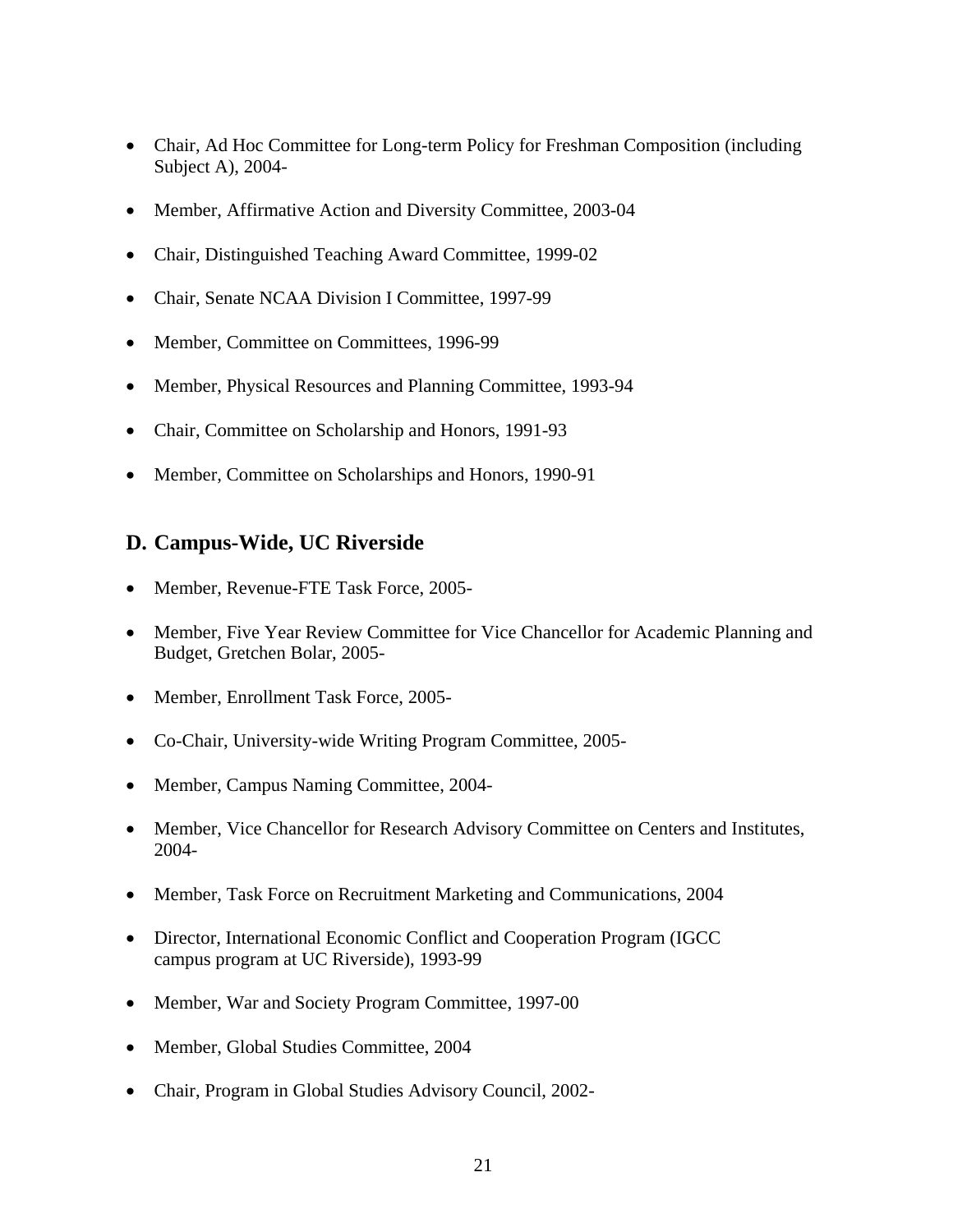- Chair, Ad Hoc Committee for Long-term Policy for Freshman Composition (including Subject A), 2004-
- Member, Affirmative Action and Diversity Committee, 2003-04
- Chair, Distinguished Teaching Award Committee, 1999-02
- Chair, Senate NCAA Division I Committee, 1997-99
- Member, Committee on Committees, 1996-99
- Member, Physical Resources and Planning Committee, 1993-94
- Chair, Committee on Scholarship and Honors, 1991-93
- Member, Committee on Scholarships and Honors, 1990-91

### **D. Campus-Wide, UC Riverside**

- Member, Revenue-FTE Task Force, 2005-
- Member, Five Year Review Committee for Vice Chancellor for Academic Planning and Budget, Gretchen Bolar, 2005-
- Member, Enrollment Task Force, 2005-
- Co-Chair, University-wide Writing Program Committee, 2005-
- Member, Campus Naming Committee, 2004-
- Member, Vice Chancellor for Research Advisory Committee on Centers and Institutes, 2004-
- Member, Task Force on Recruitment Marketing and Communications, 2004
- Director, International Economic Conflict and Cooperation Program (IGCC campus program at UC Riverside), 1993-99
- Member, War and Society Program Committee, 1997-00
- Member, Global Studies Committee, 2004
- Chair, Program in Global Studies Advisory Council, 2002-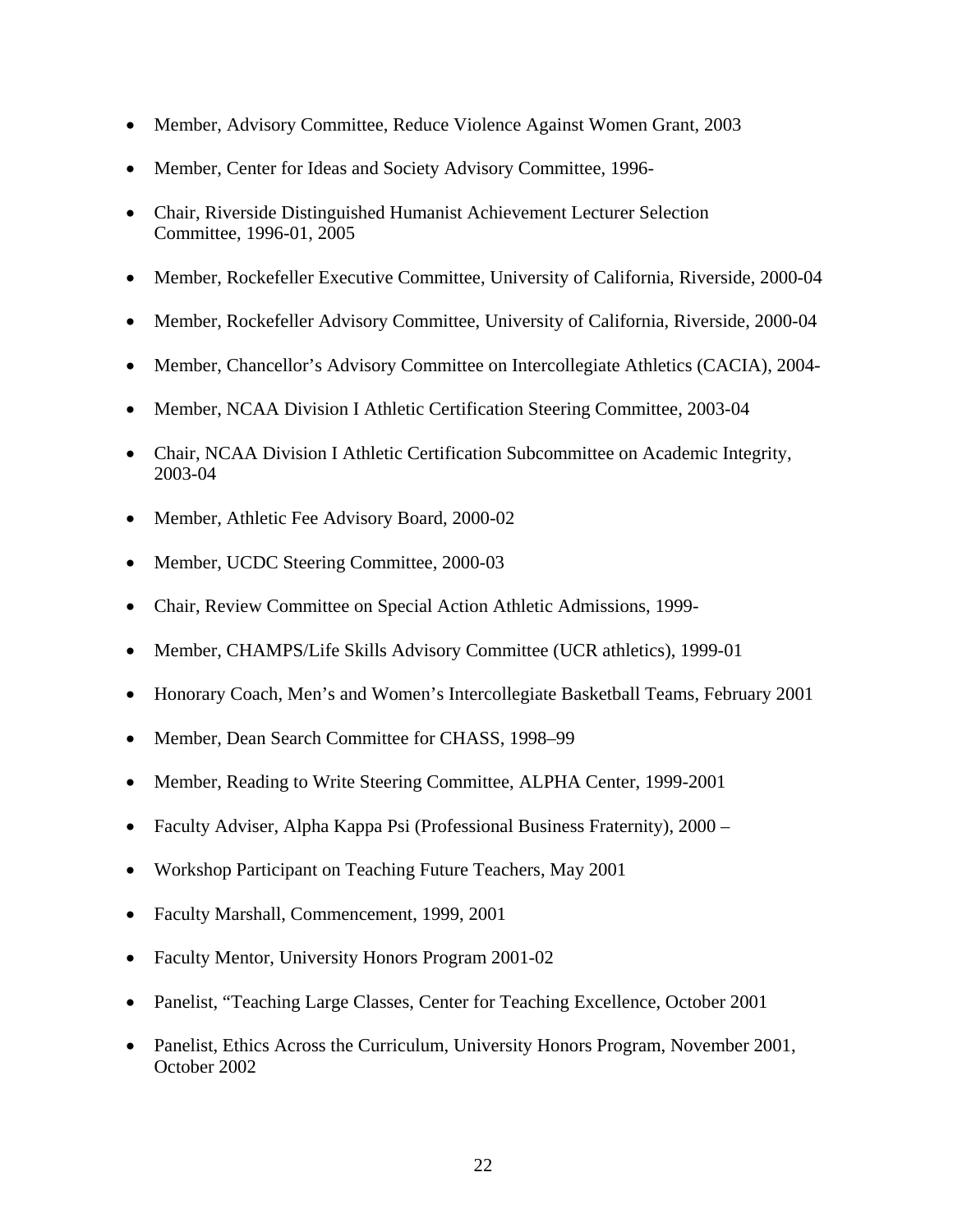- Member, Advisory Committee, Reduce Violence Against Women Grant, 2003
- Member, Center for Ideas and Society Advisory Committee, 1996-
- Chair, Riverside Distinguished Humanist Achievement Lecturer Selection Committee, 1996-01, 2005
- Member, Rockefeller Executive Committee, University of California, Riverside, 2000-04
- Member, Rockefeller Advisory Committee, University of California, Riverside, 2000-04
- Member, Chancellor's Advisory Committee on Intercollegiate Athletics (CACIA), 2004-
- Member, NCAA Division I Athletic Certification Steering Committee, 2003-04
- Chair, NCAA Division I Athletic Certification Subcommittee on Academic Integrity, 2003-04
- Member, Athletic Fee Advisory Board, 2000-02
- Member, UCDC Steering Committee, 2000-03
- Chair, Review Committee on Special Action Athletic Admissions, 1999-
- Member, CHAMPS/Life Skills Advisory Committee (UCR athletics), 1999-01
- Honorary Coach, Men's and Women's Intercollegiate Basketball Teams, February 2001
- Member, Dean Search Committee for CHASS, 1998–99
- Member, Reading to Write Steering Committee, ALPHA Center, 1999-2001
- Faculty Adviser, Alpha Kappa Psi (Professional Business Fraternity), 2000 –
- Workshop Participant on Teaching Future Teachers, May 2001
- Faculty Marshall, Commencement, 1999, 2001
- Faculty Mentor, University Honors Program 2001-02
- Panelist, "Teaching Large Classes, Center for Teaching Excellence, October 2001
- Panelist, Ethics Across the Curriculum, University Honors Program, November 2001, October 2002